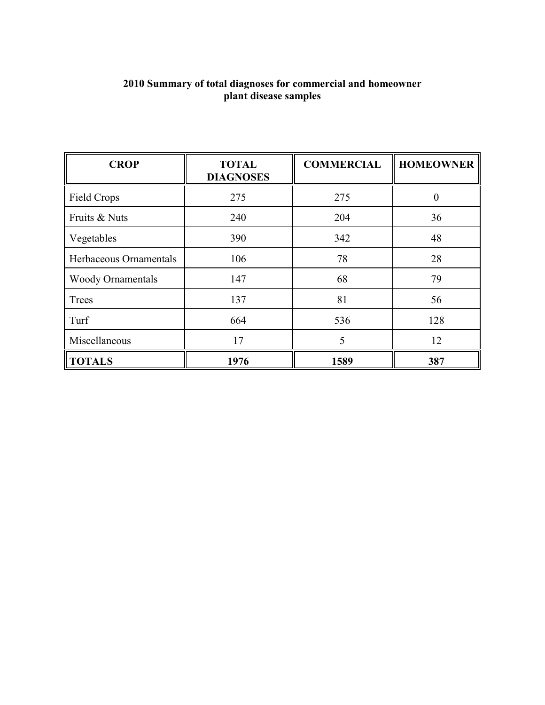| <b>CROP</b>              | <b>TOTAL</b><br><b>DIAGNOSES</b> | <b>COMMERCIAL</b> | <b>HOMEOWNER</b> |
|--------------------------|----------------------------------|-------------------|------------------|
| Field Crops              | 275                              | 275               | $\Omega$         |
| Fruits & Nuts            | 240                              | 204               | 36               |
| Vegetables               | 390                              | 342               | 48               |
| Herbaceous Ornamentals   | 106                              | 78                | 28               |
| <b>Woody Ornamentals</b> | 147                              | 68                | 79               |
| Trees                    | 137                              | 81                | 56               |
| Turf                     | 664                              | 536               | 128              |
| Miscellaneous            | 17                               | 5                 | 12               |
| <b>TOTALS</b>            | 1976                             | 1589              | 387              |

#### **2010 Summary of total diagnoses for commercial and homeowner plant disease samples**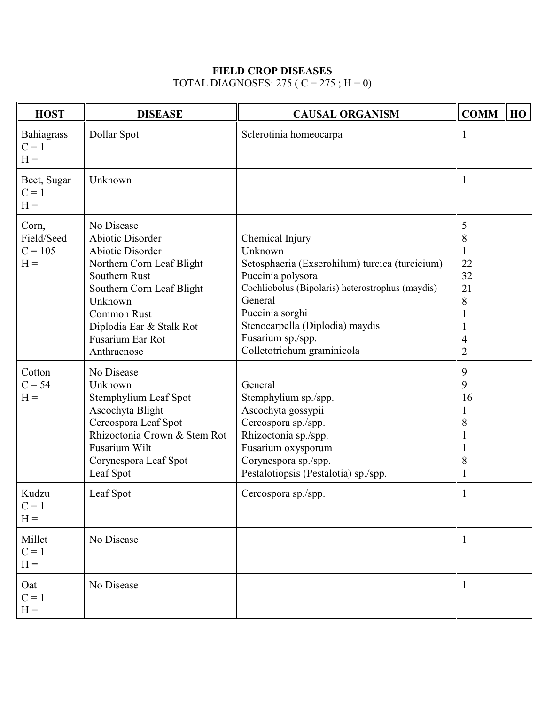## **FIELD CROP DISEASES**

# TOTAL DIAGNOSES: 275 ( $C = 275$ ; H = 0)

| <b>HOST</b>                               | <b>DISEASE</b>                                                                                                                                                                                                                       | <b>CAUSAL ORGANISM</b>                                                                                                                                                                                                                                                    | <b>COMM</b>                                                   | HO |
|-------------------------------------------|--------------------------------------------------------------------------------------------------------------------------------------------------------------------------------------------------------------------------------------|---------------------------------------------------------------------------------------------------------------------------------------------------------------------------------------------------------------------------------------------------------------------------|---------------------------------------------------------------|----|
| Bahiagrass<br>$C = 1$<br>$H =$            | Dollar Spot                                                                                                                                                                                                                          | Sclerotinia homeocarpa                                                                                                                                                                                                                                                    | 1                                                             |    |
| Beet, Sugar<br>$C = 1$<br>$H =$           | Unknown                                                                                                                                                                                                                              |                                                                                                                                                                                                                                                                           | -1                                                            |    |
| Corn,<br>Field/Seed<br>$C = 105$<br>$H =$ | No Disease<br><b>Abiotic Disorder</b><br>Abiotic Disorder<br>Northern Corn Leaf Blight<br>Southern Rust<br>Southern Corn Leaf Blight<br>Unknown<br><b>Common Rust</b><br>Diplodia Ear & Stalk Rot<br>Fusarium Ear Rot<br>Anthracnose | Chemical Injury<br>Unknown<br>Setosphaeria (Exserohilum) turcica (turcicium)<br>Puccinia polysora<br>Cochliobolus (Bipolaris) heterostrophus (maydis)<br>General<br>Puccinia sorghi<br>Stenocarpella (Diplodia) maydis<br>Fusarium sp./spp.<br>Colletotrichum graminicola | 5<br>8<br>1<br>22<br>32<br>21<br>$8\,$<br>4<br>$\overline{2}$ |    |
| Cotton<br>$C = 54$<br>$H =$               | No Disease<br>Unknown<br>Stemphylium Leaf Spot<br>Ascochyta Blight<br>Cercospora Leaf Spot<br>Rhizoctonia Crown & Stem Rot<br>Fusarium Wilt<br>Corynespora Leaf Spot<br>Leaf Spot                                                    | General<br>Stemphylium sp./spp.<br>Ascochyta gossypii<br>Cercospora sp./spp.<br>Rhizoctonia sp./spp.<br>Fusarium oxysporum<br>Corynespora sp./spp.<br>Pestalotiopsis (Pestalotia) sp./spp.                                                                                | 9<br>9<br>16<br>T<br>8<br>8<br>1                              |    |
| Kudzu<br>$C = 1$<br>$H =$                 | Leaf Spot                                                                                                                                                                                                                            | Cercospora sp./spp.                                                                                                                                                                                                                                                       |                                                               |    |
| Millet<br>$C = 1$<br>$\mathbf{H} =$       | No Disease                                                                                                                                                                                                                           |                                                                                                                                                                                                                                                                           | 1                                                             |    |
| Oat<br>$C = 1$<br>$\mathbf{H} =$          | No Disease                                                                                                                                                                                                                           |                                                                                                                                                                                                                                                                           | 1                                                             |    |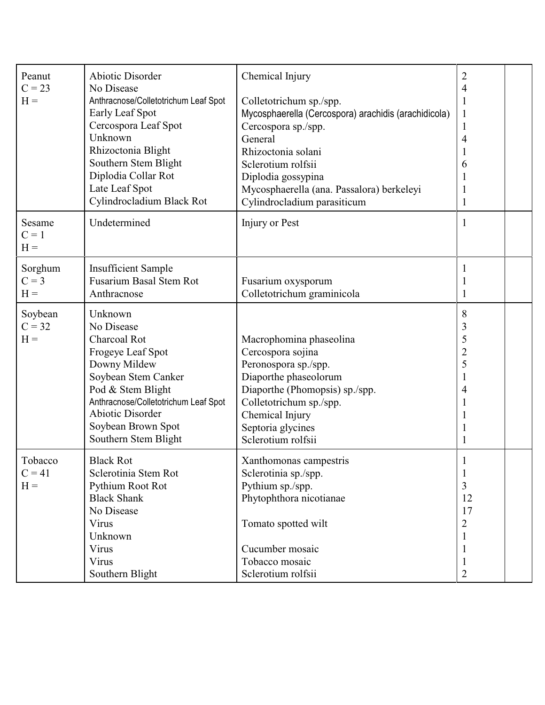| Peanut<br>$C = 23$<br>$H =$           | <b>Abiotic Disorder</b><br>No Disease<br>Anthracnose/Colletotrichum Leaf Spot<br>Early Leaf Spot<br>Cercospora Leaf Spot<br>Unknown<br>Rhizoctonia Blight<br>Southern Stem Blight<br>Diplodia Collar Rot<br>Late Leaf Spot<br>Cylindrocladium Black Rot | Chemical Injury<br>Colletotrichum sp./spp.<br>Mycosphaerella (Cercospora) arachidis (arachidicola)<br>Cercospora sp./spp.<br>General<br>Rhizoctonia solani<br>Sclerotium rolfsii<br>Diplodia gossypina<br>Mycosphaerella (ana. Passalora) berkeleyi<br>Cylindrocladium parasiticum | $\overline{2}$<br>4<br>1<br>$\mathbf{1}$<br>$\mathbf{1}$<br>4<br>6<br>1<br>$\mathbf{1}$ |  |
|---------------------------------------|---------------------------------------------------------------------------------------------------------------------------------------------------------------------------------------------------------------------------------------------------------|------------------------------------------------------------------------------------------------------------------------------------------------------------------------------------------------------------------------------------------------------------------------------------|-----------------------------------------------------------------------------------------|--|
| Sesame<br>$C = 1$<br>$H =$            | Undetermined                                                                                                                                                                                                                                            | Injury or Pest                                                                                                                                                                                                                                                                     | $\mathbf{1}$                                                                            |  |
| Sorghum<br>$C = 3$<br>$H =$           | <b>Insufficient Sample</b><br><b>Fusarium Basal Stem Rot</b><br>Anthracnose                                                                                                                                                                             | Fusarium oxysporum<br>Colletotrichum graminicola                                                                                                                                                                                                                                   | 1<br>1                                                                                  |  |
| Soybean<br>$C = 32$<br>$H =$          | Unknown<br>No Disease<br><b>Charcoal Rot</b><br>Frogeye Leaf Spot<br>Downy Mildew<br>Soybean Stem Canker<br>Pod & Stem Blight<br>Anthracnose/Colletotrichum Leaf Spot<br><b>Abiotic Disorder</b><br>Soybean Brown Spot<br>Southern Stem Blight          | Macrophomina phaseolina<br>Cercospora sojina<br>Peronospora sp./spp.<br>Diaporthe phaseolorum<br>Diaporthe (Phomopsis) sp./spp.<br>Colletotrichum sp./spp.<br>Chemical Injury<br>Septoria glycines<br>Sclerotium rolfsii                                                           | 8<br>3<br>5<br>$\overline{2}$<br>5<br>4                                                 |  |
| Tobacco<br>$C = 41$<br>$\mathbf{H} =$ | <b>Black Rot</b><br>Sclerotinia Stem Rot<br>Pythium Root Rot<br><b>Black Shank</b><br>No Disease<br>Virus<br>Unknown<br>Virus<br>Virus<br>Southern Blight                                                                                               | Xanthomonas campestris<br>Sclerotinia sp./spp.<br>Pythium sp./spp.<br>Phytophthora nicotianae<br>Tomato spotted wilt<br>Cucumber mosaic<br>Tobacco mosaic<br>Sclerotium rolfsii                                                                                                    | $\mathbf{1}$<br>3<br>12<br>17<br>$\overline{2}$<br>1<br>1<br>$\overline{2}$             |  |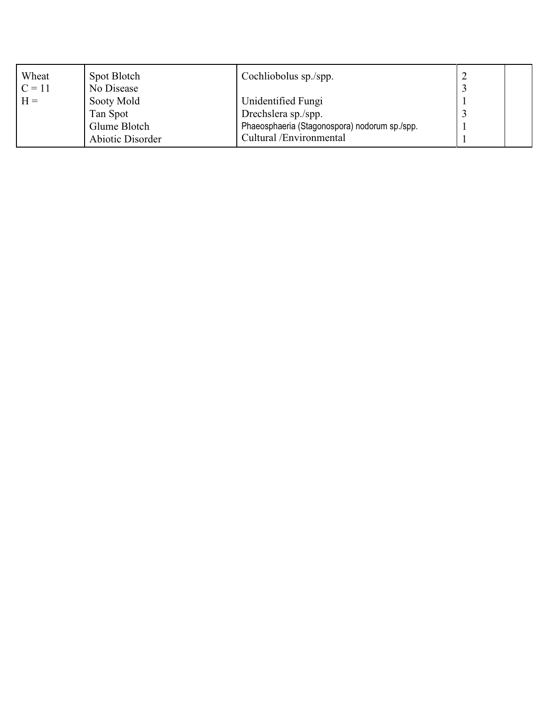| Wheat    | Spot Blotch      | Cochliobolus sp./spp.                         |  |
|----------|------------------|-----------------------------------------------|--|
| $C = 11$ | No Disease       |                                               |  |
| $H =$    | Sooty Mold       | Unidentified Fungi                            |  |
|          | Tan Spot         | Drechslera sp./spp.                           |  |
|          | Glume Blotch     | Phaeosphaeria (Stagonospora) nodorum sp./spp. |  |
|          | Abiotic Disorder | Cultural /Environmental                       |  |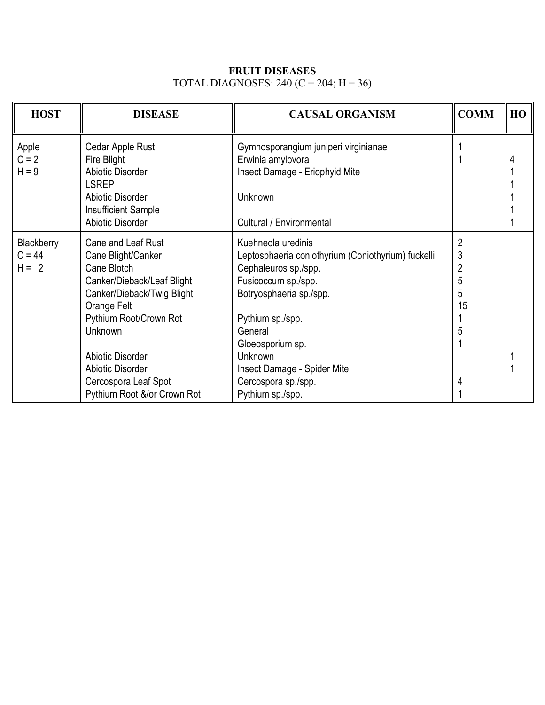### **FRUIT DISEASES** TOTAL DIAGNOSES: 240 (C = 204;  $H = 36$ )

| <b>HOST</b> | <b>DISEASE</b>              | <b>CAUSAL ORGANISM</b>                             | <b>COMM</b>    | HO |
|-------------|-----------------------------|----------------------------------------------------|----------------|----|
| Apple       | Cedar Apple Rust            | Gymnosporangium juniperi virginianae               |                |    |
| $C = 2$     | Fire Blight                 | Erwinia amylovora                                  |                |    |
| $H = 9$     | Abiotic Disorder            | Insect Damage - Eriophyid Mite                     |                |    |
|             | LSREP                       |                                                    |                |    |
|             | <b>Abiotic Disorder</b>     | Unknown                                            |                |    |
|             | <b>Insufficient Sample</b>  |                                                    |                |    |
|             | <b>Abiotic Disorder</b>     | <b>Cultural / Environmental</b>                    |                |    |
| Blackberry  | <b>Cane and Leaf Rust</b>   | Kuehneola uredinis                                 | $\overline{2}$ |    |
| $C = 44$    | Cane Blight/Canker          | Leptosphaeria coniothyrium (Coniothyrium) fuckelli | 3              |    |
| $H = 2$     | Cane Blotch                 | Cephaleuros sp./spp.                               | $\overline{c}$ |    |
|             | Canker/Dieback/Leaf Blight  | Fusicoccum sp./spp.                                | 5              |    |
|             | Canker/Dieback/Twig Blight  | Botryosphaeria sp./spp.                            | 5              |    |
|             | Orange Felt                 |                                                    | 15             |    |
|             | Pythium Root/Crown Rot      | Pythium sp./spp.                                   |                |    |
|             | Unknown                     | General                                            | 5              |    |
|             |                             | Gloeosporium sp.                                   |                |    |
|             | <b>Abiotic Disorder</b>     | <b>Unknown</b>                                     |                |    |
|             | <b>Abiotic Disorder</b>     | Insect Damage - Spider Mite                        |                |    |
|             | Cercospora Leaf Spot        | Cercospora sp./spp.                                | 4              |    |
|             | Pythium Root &/or Crown Rot | Pythium sp./spp.                                   |                |    |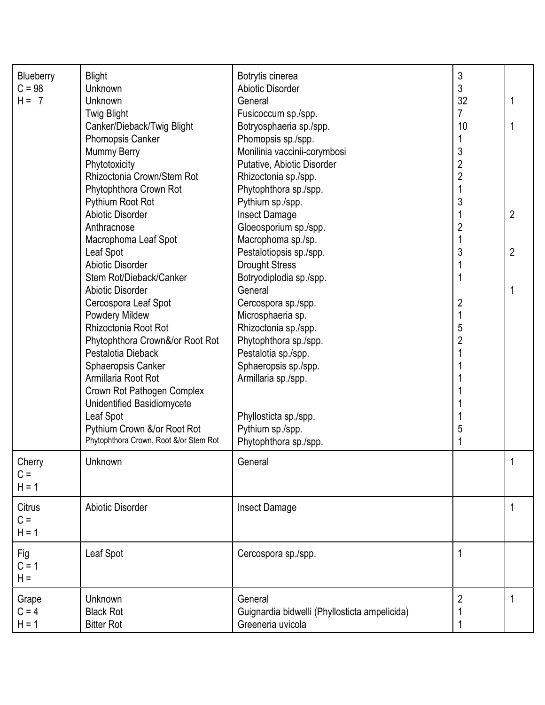| Blueberry<br>$C = 98$<br>$H = 7$ | <b>Blight</b><br>Unknown<br><b>Unknown</b><br><b>Twig Blight</b>                                                                                                                                                                                                                                                                                                             | Botrytis cinerea<br>Abiotic Disorder<br>General<br>Fusicoccum sp./spp.                                                                                                                                                                                                                                      | 3<br>3<br>32<br>$\overline{7}$                                               | 1                                |
|----------------------------------|------------------------------------------------------------------------------------------------------------------------------------------------------------------------------------------------------------------------------------------------------------------------------------------------------------------------------------------------------------------------------|-------------------------------------------------------------------------------------------------------------------------------------------------------------------------------------------------------------------------------------------------------------------------------------------------------------|------------------------------------------------------------------------------|----------------------------------|
|                                  | Canker/Dieback/Twig Blight<br><b>Phomopsis Canker</b><br>Mummy Berry<br>Phytotoxicity<br>Rhizoctonia Crown/Stem Rot<br>Phytophthora Crown Rot<br>Pythium Root Rot<br><b>Abiotic Disorder</b><br>Anthracnose<br>Macrophoma Leaf Spot<br>Leaf Spot<br><b>Abiotic Disorder</b>                                                                                                  | Botryosphaeria sp./spp.<br>Phomopsis sp./spp.<br>Monilinia vaccinii-corymbosi<br>Putative, Abiotic Disorder<br>Rhizoctonia sp./spp.<br>Phytophthora sp./spp.<br>Pythium sp./spp.<br><b>Insect Damage</b><br>Gloeosporium sp./spp.<br>Macrophoma sp./sp.<br>Pestalotiopsis sp./spp.<br><b>Drought Stress</b> | 10<br>3<br>$\overline{c}$<br>$\overline{c}$<br>1<br>3<br>$\overline{c}$<br>3 | $\overline{2}$<br>$\overline{2}$ |
|                                  | Stem Rot/Dieback/Canker<br><b>Abiotic Disorder</b><br>Cercospora Leaf Spot<br>Powdery Mildew<br>Rhizoctonia Root Rot<br>Phytophthora Crown&/or Root Rot<br>Pestalotia Dieback<br>Sphaeropsis Canker<br>Armillaria Root Rot<br>Crown Rot Pathogen Complex<br>Unidentified Basidiomycete<br>Leaf Spot<br>Pythium Crown &/or Root Rot<br>Phytophthora Crown, Root &/or Stem Rot | Botryodiplodia sp./spp.<br>General<br>Cercospora sp./spp.<br>Microsphaeria sp.<br>Rhizoctonia sp./spp.<br>Phytophthora sp./spp.<br>Pestalotia sp./spp.<br>Sphaeropsis sp./spp.<br>Armillaria sp./spp.<br>Phyllosticta sp./spp.<br>Pythium sp./spp.<br>Phytophthora sp./spp.                                 | $\overline{\mathbf{c}}$<br>$\mathbf 1$<br>5<br>$\overline{c}$<br>5           | 1                                |
| Cherry<br>$C =$<br>$H = 1$       | Unknown                                                                                                                                                                                                                                                                                                                                                                      | General                                                                                                                                                                                                                                                                                                     |                                                                              |                                  |
| Citrus<br>$C =$<br>$H = 1$       | <b>Abiotic Disorder</b>                                                                                                                                                                                                                                                                                                                                                      | <b>Insect Damage</b>                                                                                                                                                                                                                                                                                        |                                                                              | 1                                |
| Fig<br>$C = 1$<br>$H =$          | Leaf Spot                                                                                                                                                                                                                                                                                                                                                                    | Cercospora sp./spp.                                                                                                                                                                                                                                                                                         |                                                                              |                                  |
| Grape<br>$C = 4$<br>$H = 1$      | <b>Unknown</b><br><b>Black Rot</b><br><b>Bitter Rot</b>                                                                                                                                                                                                                                                                                                                      | General<br>Guignardia bidwelli (Phyllosticta ampelicida)<br>Greeneria uvicola                                                                                                                                                                                                                               | $\overline{2}$                                                               |                                  |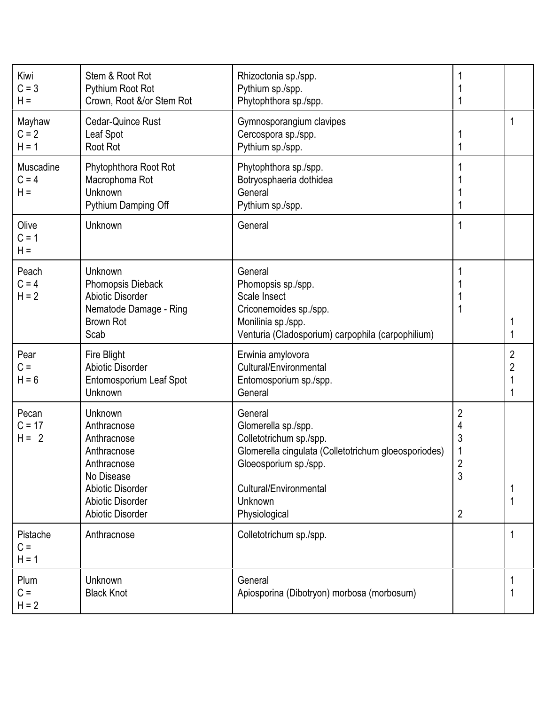| Kiwi<br>$C = 3$<br>$H =$      | Stem & Root Rot<br>Pythium Root Rot<br>Crown, Root &/or Stem Rot                                                                                            | Rhizoctonia sp./spp.<br>Pythium sp./spp.<br>Phytophthora sp./spp.                                                                                                                                       |                                 |                     |
|-------------------------------|-------------------------------------------------------------------------------------------------------------------------------------------------------------|---------------------------------------------------------------------------------------------------------------------------------------------------------------------------------------------------------|---------------------------------|---------------------|
| Mayhaw<br>$C = 2$<br>$H = 1$  | Cedar-Quince Rust<br>Leaf Spot<br>Root Rot                                                                                                                  | Gymnosporangium clavipes<br>Cercospora sp./spp.<br>Pythium sp./spp.                                                                                                                                     |                                 | 1                   |
| Muscadine<br>$C = 4$<br>$H =$ | Phytophthora Root Rot<br>Macrophoma Rot<br>Unknown<br>Pythium Damping Off                                                                                   | Phytophthora sp./spp.<br>Botryosphaeria dothidea<br>General<br>Pythium sp./spp.                                                                                                                         |                                 |                     |
| Olive<br>$C = 1$<br>$H =$     | Unknown                                                                                                                                                     | General                                                                                                                                                                                                 |                                 |                     |
| Peach<br>$C = 4$<br>$H = 2$   | Unknown<br><b>Phomopsis Dieback</b><br><b>Abiotic Disorder</b><br>Nematode Damage - Ring<br><b>Brown Rot</b><br>Scab                                        | General<br>Phomopsis sp./spp.<br>Scale Insect<br>Criconemoides sp./spp.<br>Monilinia sp./spp.<br>Venturia (Cladosporium) carpophila (carpophilium)                                                      |                                 |                     |
| Pear<br>$C =$<br>$H = 6$      | Fire Blight<br><b>Abiotic Disorder</b><br>Entomosporium Leaf Spot<br>Unknown                                                                                | Erwinia amylovora<br>Cultural/Environmental<br>Entomosporium sp./spp.<br>General                                                                                                                        |                                 | 2<br>$\overline{2}$ |
| Pecan<br>$C = 17$<br>$H = 2$  | Unknown<br>Anthracnose<br>Anthracnose<br>Anthracnose<br>Anthracnose<br>No Disease<br>Abiotic Disorder<br><b>Abiotic Disorder</b><br><b>Abiotic Disorder</b> | General<br>Glomerella sp./spp.<br>Colletotrichum sp./spp.<br>Glomerella cingulata (Colletotrichum gloeosporiodes)<br>Gloeosporium sp./spp.<br>Cultural/Environmental<br><b>Unknown</b><br>Physiological | 2<br>4<br>3<br>1<br>ŋ<br>3<br>2 |                     |
| Pistache<br>$C =$<br>$H = 1$  | Anthracnose                                                                                                                                                 | Colletotrichum sp./spp.                                                                                                                                                                                 |                                 |                     |
| Plum<br>$C =$<br>$H = 2$      | Unknown<br><b>Black Knot</b>                                                                                                                                | General<br>Apiosporina (Dibotryon) morbosa (morbosum)                                                                                                                                                   |                                 |                     |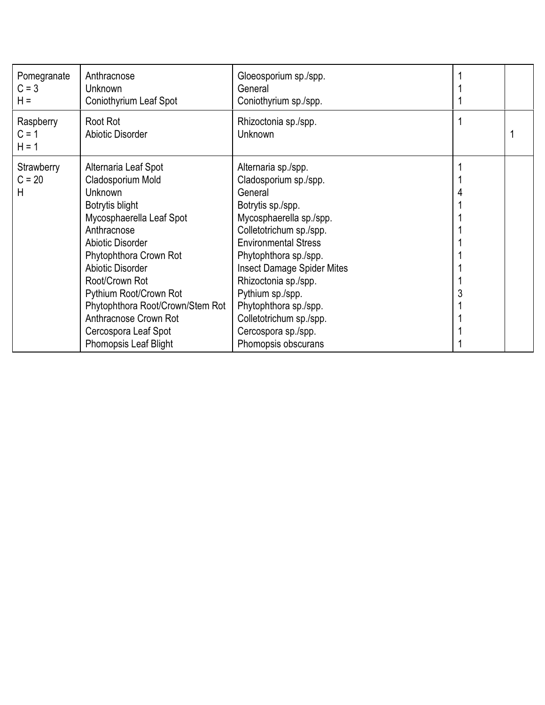| Pomegranate<br>$C = 3$<br>$H =$ | Anthracnose<br><b>Unknown</b><br>Coniothyrium Leaf Spot                                                                                                                                                                                                                                                               | Gloeosporium sp./spp.<br>General<br>Coniothyrium sp./spp.                                                                                                                                                                                                                                                                                              |  |
|---------------------------------|-----------------------------------------------------------------------------------------------------------------------------------------------------------------------------------------------------------------------------------------------------------------------------------------------------------------------|--------------------------------------------------------------------------------------------------------------------------------------------------------------------------------------------------------------------------------------------------------------------------------------------------------------------------------------------------------|--|
| Raspberry<br>$C = 1$<br>$H = 1$ | Root Rot<br><b>Abiotic Disorder</b>                                                                                                                                                                                                                                                                                   | Rhizoctonia sp./spp.<br><b>Unknown</b>                                                                                                                                                                                                                                                                                                                 |  |
| Strawberry<br>$C = 20$<br>Н     | Alternaria Leaf Spot<br>Cladosporium Mold<br>Unknown<br>Botrytis blight<br>Mycosphaerella Leaf Spot<br>Anthracnose<br>Abiotic Disorder<br>Phytophthora Crown Rot<br>Abiotic Disorder<br>Root/Crown Rot<br>Pythium Root/Crown Rot<br>Phytophthora Root/Crown/Stem Rot<br>Anthracnose Crown Rot<br>Cercospora Leaf Spot | Alternaria sp./spp.<br>Cladosporium sp./spp.<br>General<br>Botrytis sp./spp.<br>Mycosphaerella sp./spp.<br>Colletotrichum sp./spp.<br><b>Environmental Stress</b><br>Phytophthora sp./spp.<br><b>Insect Damage Spider Mites</b><br>Rhizoctonia sp./spp.<br>Pythium sp./spp.<br>Phytophthora sp./spp.<br>Colletotrichum sp./spp.<br>Cercospora sp./spp. |  |
|                                 | <b>Phomopsis Leaf Blight</b>                                                                                                                                                                                                                                                                                          | Phomopsis obscurans                                                                                                                                                                                                                                                                                                                                    |  |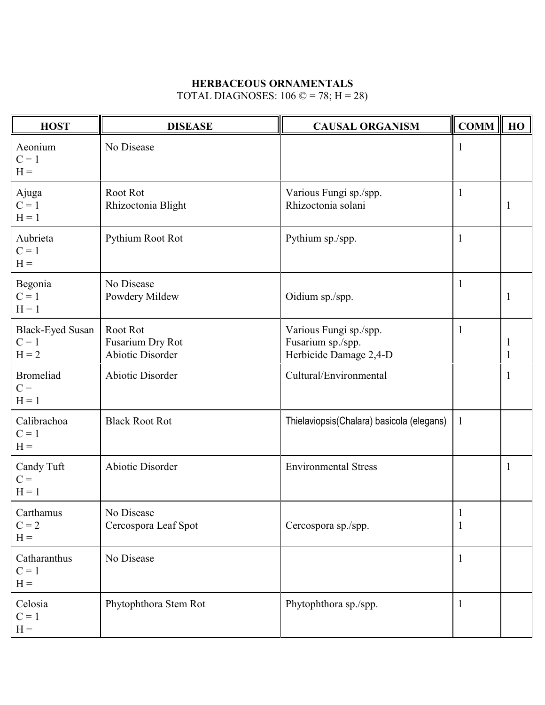### **HERBACEOUS ORNAMENTALS**

TOTAL DIAGNOSES:  $106 \text{ } \textcircled{} = 78$ ; H = 28)

| <b>HOST</b>                                   | <b>DISEASE</b>                                   | <b>CAUSAL ORGANISM</b>                                                | $\ $ COMM $\ $               | HO |
|-----------------------------------------------|--------------------------------------------------|-----------------------------------------------------------------------|------------------------------|----|
| Aeonium<br>$C = 1$<br>$H =$                   | No Disease                                       |                                                                       | $\mathbf{1}$                 |    |
| Ajuga<br>$C = 1$<br>$H = 1$                   | Root Rot<br>Rhizoctonia Blight                   | Various Fungi sp./spp.<br>Rhizoctonia solani                          | $\mathbf{1}$                 | 1  |
| Aubrieta<br>$C = 1$<br>$H =$                  | Pythium Root Rot                                 | Pythium sp./spp.                                                      | $\mathbf{1}$                 |    |
| Begonia<br>$C = 1$<br>$H = 1$                 | No Disease<br>Powdery Mildew                     | Oidium sp./spp.                                                       | $\mathbf{1}$                 | 1  |
| <b>Black-Eyed Susan</b><br>$C = 1$<br>$H = 2$ | Root Rot<br>Fusarium Dry Rot<br>Abiotic Disorder | Various Fungi sp./spp.<br>Fusarium sp./spp.<br>Herbicide Damage 2,4-D | $\mathbf{1}$                 |    |
| <b>Bromeliad</b><br>$C =$<br>$H = 1$          | <b>Abiotic Disorder</b>                          | Cultural/Environmental                                                |                              | 1  |
| Calibrachoa<br>$C = 1$<br>$H =$               | <b>Black Root Rot</b>                            | Thielaviopsis(Chalara) basicola (elegans)                             | $\mathbf{1}$                 |    |
| Candy Tuft<br>$C =$<br>$H = 1$                | <b>Abiotic Disorder</b>                          | <b>Environmental Stress</b>                                           |                              | 1  |
| Carthamus<br>$C = 2$<br>$H =$                 | No Disease<br>Cercospora Leaf Spot               | Cercospora sp./spp.                                                   | $\mathbf{1}$<br>$\mathbf{1}$ |    |
| Catharanthus<br>$C = 1$<br>$\mathbf{H} =$     | No Disease                                       |                                                                       | $\mathbf{1}$                 |    |
| Celosia<br>$C = 1$<br>$H =$                   | Phytophthora Stem Rot                            | Phytophthora sp./spp.                                                 | $\mathbf{1}$                 |    |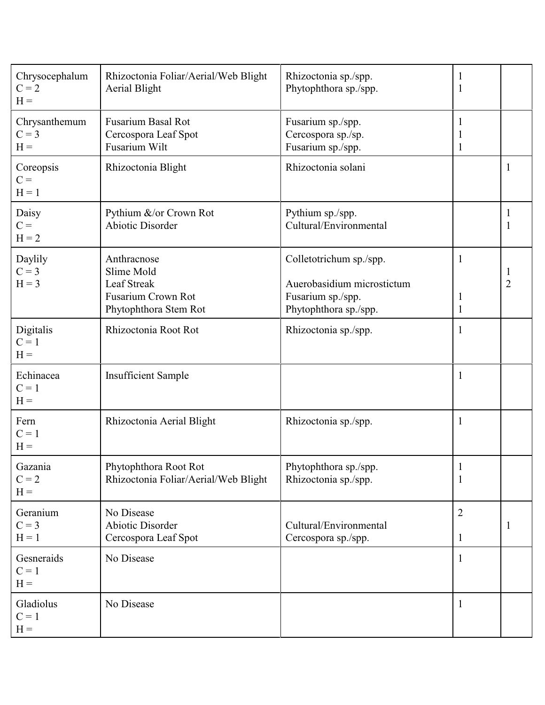| Chrysocephalum<br>$C = 2$<br>$H =$ | Rhizoctonia Foliar/Aerial/Web Blight<br><b>Aerial Blight</b>                                          | Rhizoctonia sp./spp.<br>Phytophthora sp./spp.                                                       | 1<br>1                         |              |
|------------------------------------|-------------------------------------------------------------------------------------------------------|-----------------------------------------------------------------------------------------------------|--------------------------------|--------------|
| Chrysanthemum<br>$C = 3$<br>$H =$  | <b>Fusarium Basal Rot</b><br>Cercospora Leaf Spot<br>Fusarium Wilt                                    | Fusarium sp./spp.<br>Cercospora sp./sp.<br>Fusarium sp./spp.                                        | 1<br>1                         |              |
| Coreopsis<br>$C =$<br>$H = 1$      | Rhizoctonia Blight                                                                                    | Rhizoctonia solani                                                                                  |                                | 1            |
| Daisy<br>$C =$<br>$H = 2$          | Pythium &/or Crown Rot<br><b>Abiotic Disorder</b>                                                     | Pythium sp./spp.<br>Cultural/Environmental                                                          |                                |              |
| Daylily<br>$C = 3$<br>$H = 3$      | Anthracnose<br>Slime Mold<br><b>Leaf Streak</b><br><b>Fusarium Crown Rot</b><br>Phytophthora Stem Rot | Colletotrichum sp./spp.<br>Auerobasidium microstictum<br>Fusarium sp./spp.<br>Phytophthora sp./spp. | 1<br>1<br>$\mathbf{1}$         | 2            |
| Digitalis<br>$C = 1$<br>$H =$      | Rhizoctonia Root Rot                                                                                  | Rhizoctonia sp./spp.                                                                                | 1                              |              |
| Echinacea<br>$C = 1$<br>$H =$      | <b>Insufficient Sample</b>                                                                            |                                                                                                     | 1                              |              |
| Fern<br>$C = 1$<br>$H =$           | Rhizoctonia Aerial Blight                                                                             | Rhizoctonia sp./spp.                                                                                | 1                              |              |
| Gazania<br>$C = 2$<br>$H =$        | Phytophthora Root Rot<br>Rhizoctonia Foliar/Aerial/Web Blight                                         | Phytophthora sp./spp.<br>Rhizoctonia sp./spp.                                                       | -1<br>1                        |              |
| Geranium<br>$C = 3$<br>$H = 1$     | No Disease<br><b>Abiotic Disorder</b><br>Cercospora Leaf Spot                                         | Cultural/Environmental<br>Cercospora sp./spp.                                                       | $\overline{2}$<br>$\mathbf{1}$ | <sup>1</sup> |
| Gesneraids<br>$C = 1$<br>$H =$     | No Disease                                                                                            |                                                                                                     | $\mathbf{1}$                   |              |
| Gladiolus<br>$C = 1$<br>$H =$      | No Disease                                                                                            |                                                                                                     | $\mathbf{1}$                   |              |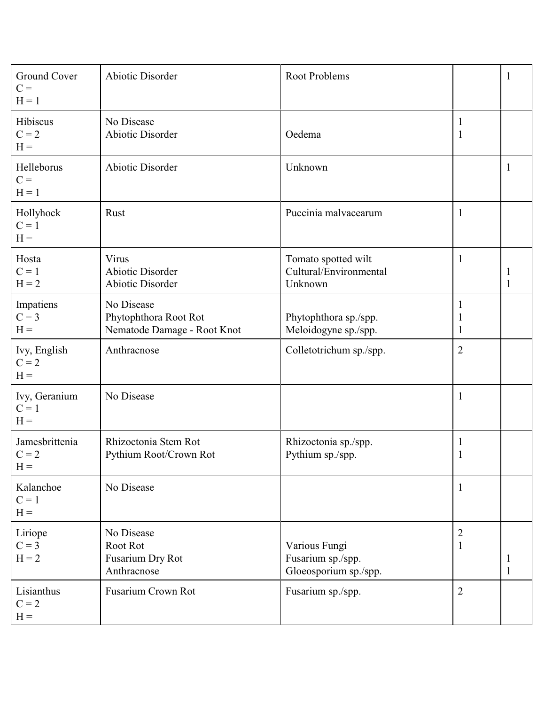| Ground Cover<br>$C =$<br>$H = 1$   | <b>Abiotic Disorder</b>                                            | <b>Root Problems</b>                                        |                                | $\mathbf{1}$ |
|------------------------------------|--------------------------------------------------------------------|-------------------------------------------------------------|--------------------------------|--------------|
| Hibiscus<br>$C = 2$<br>$H =$       | No Disease<br>Abiotic Disorder                                     | Oedema                                                      | 1<br>$\mathbf{1}$              |              |
| Helleborus<br>$C =$<br>$H = 1$     | Abiotic Disorder                                                   | Unknown                                                     |                                | 1            |
| Hollyhock<br>$C = 1$<br>$H =$      | Rust                                                               | Puccinia malvacearum                                        | $\mathbf{1}$                   |              |
| Hosta<br>$C = 1$<br>$H = 2$        | Virus<br><b>Abiotic Disorder</b><br>Abiotic Disorder               | Tomato spotted wilt<br>Cultural/Environmental<br>Unknown    | $\mathbf{1}$                   | 1            |
| Impatiens<br>$C = 3$<br>$H =$      | No Disease<br>Phytophthora Root Rot<br>Nematode Damage - Root Knot | Phytophthora sp./spp.<br>Meloidogyne sp./spp.               | $\mathbf{1}$<br>1              |              |
| Ivy, English<br>$C = 2$<br>$H =$   | Anthracnose                                                        | Colletotrichum sp./spp.                                     | $\overline{2}$                 |              |
| Ivy, Geranium<br>$C = 1$<br>$H =$  | No Disease                                                         |                                                             | $\mathbf{1}$                   |              |
| Jamesbrittenia<br>$C = 2$<br>$H =$ | Rhizoctonia Stem Rot<br>Pythium Root/Crown Rot                     | Rhizoctonia sp./spp.<br>Pythium sp./spp.                    | 1                              |              |
| Kalanchoe<br>$C = 1$<br>$H =$      | No Disease                                                         |                                                             | $\mathbf{1}$                   |              |
| Liriope<br>$C = 3$<br>$H = 2$      | No Disease<br>Root Rot<br>Fusarium Dry Rot<br>Anthracnose          | Various Fungi<br>Fusarium sp./spp.<br>Gloeosporium sp./spp. | $\overline{2}$<br>$\mathbf{1}$ | 1            |
| Lisianthus<br>$C = 2$<br>$H =$     | <b>Fusarium Crown Rot</b>                                          | Fusarium sp./spp.                                           | $\overline{2}$                 |              |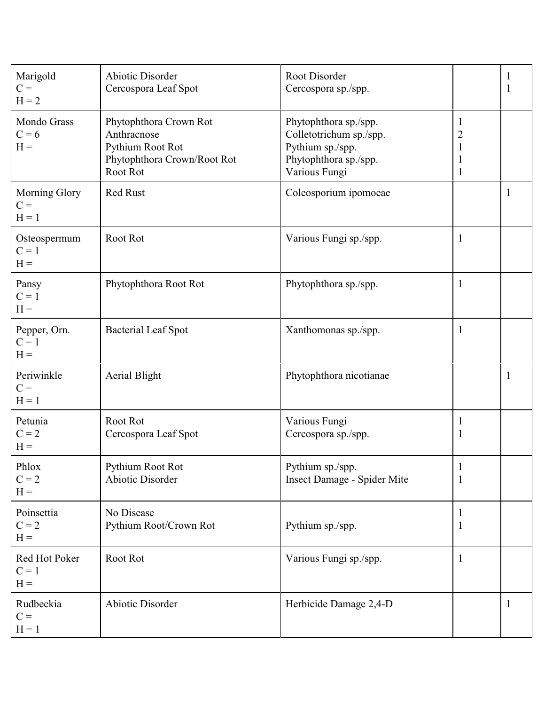| Marigold<br>$C =$<br>$H = 2$      | <b>Abiotic Disorder</b><br>Cercospora Leaf Spot                                                      | Root Disorder<br>Cercospora sp./spp.                                                                           |                                                                     | 1 |
|-----------------------------------|------------------------------------------------------------------------------------------------------|----------------------------------------------------------------------------------------------------------------|---------------------------------------------------------------------|---|
| Mondo Grass<br>$C = 6$<br>$H =$   | Phytophthora Crown Rot<br>Anthracnose<br>Pythium Root Rot<br>Phytophthora Crown/Root Rot<br>Root Rot | Phytophthora sp./spp.<br>Colletotrichum sp./spp.<br>Pythium sp./spp.<br>Phytophthora sp./spp.<br>Various Fungi | $\mathbf{1}$<br>$\overline{c}$<br>$\mathbf{1}$<br>1<br>$\mathbf{1}$ |   |
| Morning Glory<br>$C =$<br>$H = 1$ | Red Rust                                                                                             | Coleosporium ipomoeae                                                                                          |                                                                     | 1 |
| Osteospermum<br>$C = 1$<br>$H =$  | Root Rot                                                                                             | Various Fungi sp./spp.                                                                                         | $\mathbf 1$                                                         |   |
| Pansy<br>$C = 1$<br>$H =$         | Phytophthora Root Rot                                                                                | Phytophthora sp./spp.                                                                                          | $\mathbf{1}$                                                        |   |
| Pepper, Orn.<br>$C = 1$<br>$H =$  | <b>Bacterial Leaf Spot</b>                                                                           | Xanthomonas sp./spp.                                                                                           | $\mathbf{1}$                                                        |   |
| Periwinkle<br>$C =$<br>$H = 1$    | <b>Aerial Blight</b>                                                                                 | Phytophthora nicotianae                                                                                        |                                                                     | 1 |
| Petunia<br>$C = 2$<br>$H =$       | Root Rot<br>Cercospora Leaf Spot                                                                     | Various Fungi<br>Cercospora sp./spp.                                                                           | $\mathbf{1}$<br>$\mathbf{1}$                                        |   |
| Phlox<br>$C = 2$<br>$H =$         | Pythium Root Rot<br><b>Abiotic Disorder</b>                                                          | Pythium sp./spp.<br>Insect Damage - Spider Mite                                                                | $\mathbf{I}$<br>$\mathbf{1}$                                        |   |
| Poinsettia<br>$C = 2$<br>$H =$    | No Disease<br>Pythium Root/Crown Rot                                                                 | Pythium sp./spp.                                                                                               | 1<br>$\mathbf{1}$                                                   |   |
| Red Hot Poker<br>$C = 1$<br>$H =$ | Root Rot                                                                                             | Various Fungi sp./spp.                                                                                         | $\mathbf{1}$                                                        |   |
| Rudbeckia<br>$C =$<br>$H = 1$     | Abiotic Disorder                                                                                     | Herbicide Damage 2,4-D                                                                                         |                                                                     | 1 |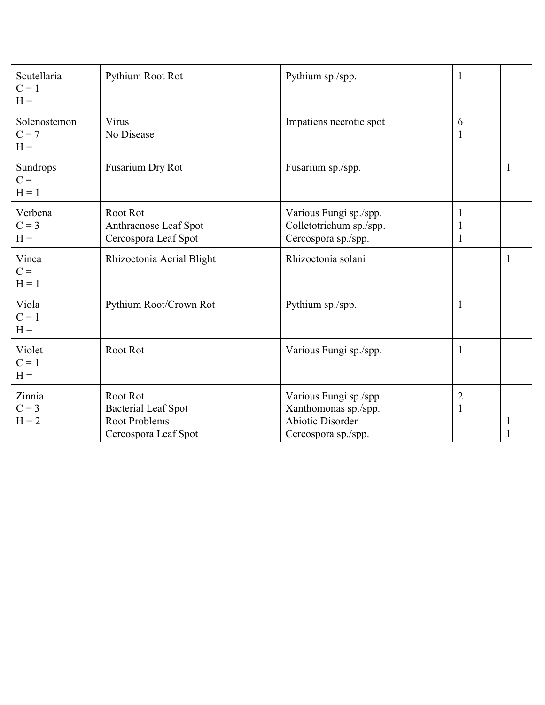| Scutellaria<br>$C = 1$<br>$H =$  | Pythium Root Rot                                                                       | Pythium sp./spp.                                                                                 | 1                              |   |
|----------------------------------|----------------------------------------------------------------------------------------|--------------------------------------------------------------------------------------------------|--------------------------------|---|
| Solenostemon<br>$C = 7$<br>$H =$ | Virus<br>No Disease                                                                    | Impatiens necrotic spot                                                                          | 6<br>$\mathbf{1}$              |   |
| Sundrops<br>$C =$<br>$H = 1$     | Fusarium Dry Rot                                                                       | Fusarium sp./spp.                                                                                |                                | 1 |
| Verbena<br>$C = 3$<br>$H =$      | Root Rot<br>Anthracnose Leaf Spot<br>Cercospora Leaf Spot                              | Various Fungi sp./spp.<br>Colletotrichum sp./spp.<br>Cercospora sp./spp.                         | 1<br>1                         |   |
| Vinca<br>$C =$<br>$H = 1$        | Rhizoctonia Aerial Blight                                                              | Rhizoctonia solani                                                                               |                                | 1 |
| Viola<br>$C = 1$<br>$H =$        | Pythium Root/Crown Rot                                                                 | Pythium sp./spp.                                                                                 | $\mathbf{1}$                   |   |
| Violet<br>$C = 1$<br>$H =$       | Root Rot                                                                               | Various Fungi sp./spp.                                                                           | 1                              |   |
| Zinnia<br>$C = 3$<br>$H = 2$     | Root Rot<br><b>Bacterial Leaf Spot</b><br><b>Root Problems</b><br>Cercospora Leaf Spot | Various Fungi sp./spp.<br>Xanthomonas sp./spp.<br><b>Abiotic Disorder</b><br>Cercospora sp./spp. | $\overline{c}$<br>$\mathbf{1}$ |   |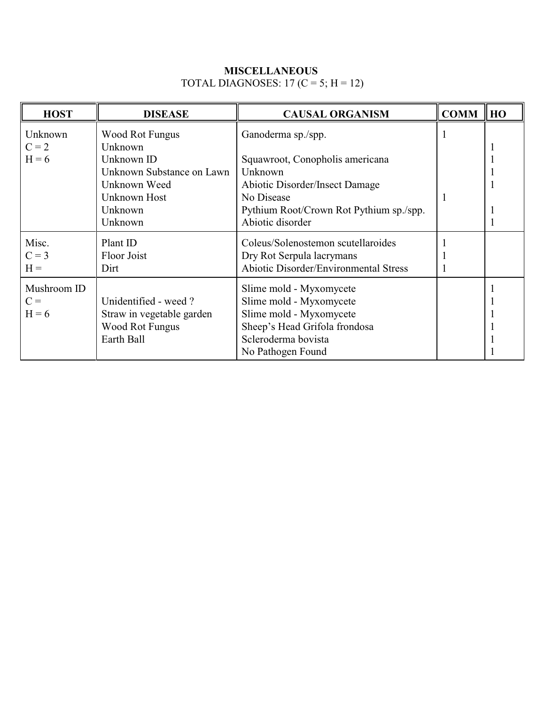### **MISCELLANEOUS**  TOTAL DIAGNOSES:  $17 (C = 5; H = 12)$

| <b>HOST</b> | <b>DISEASE</b>            | <b>CAUSAL ORGANISM</b>                       | <b>COMM</b> | <b>HO</b> |
|-------------|---------------------------|----------------------------------------------|-------------|-----------|
| Unknown     | Wood Rot Fungus           | Ganoderma sp./spp.                           |             |           |
| $C = 2$     | Unknown                   |                                              |             |           |
| $H = 6$     | Unknown ID                | Squawroot, Conopholis americana              |             |           |
|             | Unknown Substance on Lawn | Unknown                                      |             |           |
|             | Unknown Weed              | <b>Abiotic Disorder/Insect Damage</b>        |             |           |
|             | Unknown Host              | No Disease                                   | 1           |           |
|             | Unknown                   | Pythium Root/Crown Rot Pythium sp./spp.      |             |           |
|             | Unknown                   | Abiotic disorder                             |             |           |
| Misc.       | Plant ID                  | Coleus/Solenostemon scutellaroides           |             |           |
| $C = 3$     | Floor Joist               | Dry Rot Serpula lacrymans                    |             |           |
| $H =$       | Dirt                      | <b>Abiotic Disorder/Environmental Stress</b> |             |           |
| Mushroom ID |                           | Slime mold - Myxomycete                      |             |           |
| $C =$       | Unidentified - weed?      | Slime mold - Myxomycete                      |             |           |
| $H = 6$     | Straw in vegetable garden | Slime mold - Myxomycete                      |             |           |
|             | <b>Wood Rot Fungus</b>    | Sheep's Head Grifola frondosa                |             |           |
|             | Earth Ball                | Scleroderma bovista                          |             |           |
|             |                           | No Pathogen Found                            |             |           |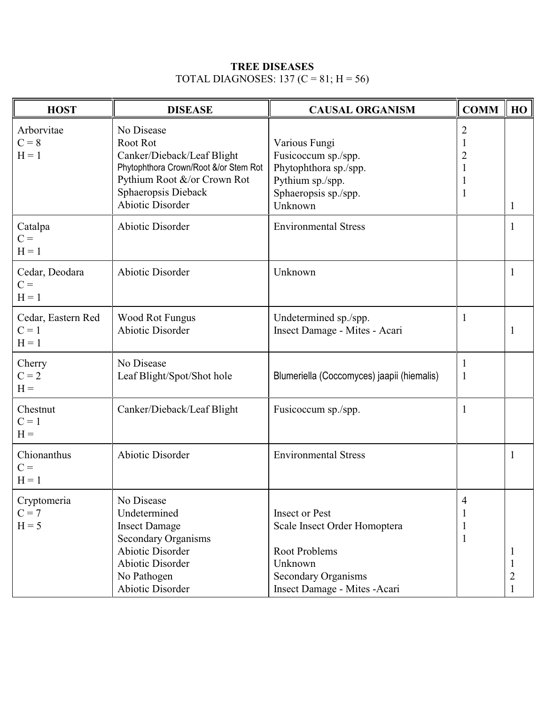### **TREE DISEASES** TOTAL DIAGNOSES: 137 (C = 81; H = 56)

| <b>HOST</b>                              | <b>DISEASE</b>                                                                                                                                                                 | <b>CAUSAL ORGANISM</b>                                                                                                                           | <b>COMM</b>                                                     | HO |
|------------------------------------------|--------------------------------------------------------------------------------------------------------------------------------------------------------------------------------|--------------------------------------------------------------------------------------------------------------------------------------------------|-----------------------------------------------------------------|----|
| Arborvitae<br>$C = 8$<br>$H = 1$         | No Disease<br>Root Rot<br>Canker/Dieback/Leaf Blight<br>Phytophthora Crown/Root &/or Stem Rot<br>Pythium Root &/or Crown Rot<br>Sphaeropsis Dieback<br><b>Abiotic Disorder</b> | Various Fungi<br>Fusicoccum sp./spp.<br>Phytophthora sp./spp.<br>Pythium sp./spp.<br>Sphaeropsis sp./spp.<br>Unknown                             | $\overline{2}$<br>1<br>$\overline{2}$<br>1<br>1<br>$\mathbf{1}$ |    |
| Catalpa<br>$C =$<br>$H = 1$              | Abiotic Disorder                                                                                                                                                               | <b>Environmental Stress</b>                                                                                                                      |                                                                 |    |
| Cedar, Deodara<br>$C =$<br>$H = 1$       | <b>Abiotic Disorder</b>                                                                                                                                                        | Unknown                                                                                                                                          |                                                                 |    |
| Cedar, Eastern Red<br>$C = 1$<br>$H = 1$ | <b>Wood Rot Fungus</b><br><b>Abiotic Disorder</b>                                                                                                                              | Undetermined sp./spp.<br>Insect Damage - Mites - Acari                                                                                           | $\mathbf 1$                                                     |    |
| Cherry<br>$C = 2$<br>$H =$               | No Disease<br>Leaf Blight/Spot/Shot hole                                                                                                                                       | Blumeriella (Coccomyces) jaapii (hiemalis)                                                                                                       | $\mathbf 1$<br>1                                                |    |
| Chestnut<br>$C = 1$<br>$H =$             | Canker/Dieback/Leaf Blight                                                                                                                                                     | Fusicoccum sp./spp.                                                                                                                              | 1                                                               |    |
| Chionanthus<br>$C =$<br>$H = 1$          | <b>Abiotic Disorder</b>                                                                                                                                                        | <b>Environmental Stress</b>                                                                                                                      |                                                                 |    |
| Cryptomeria<br>$C = 7$<br>$H = 5$        | No Disease<br>Undetermined<br><b>Insect Damage</b><br><b>Secondary Organisms</b><br><b>Abiotic Disorder</b><br><b>Abiotic Disorder</b><br>No Pathogen<br>Abiotic Disorder      | <b>Insect or Pest</b><br>Scale Insect Order Homoptera<br>Root Problems<br>Unknown<br><b>Secondary Organisms</b><br>Insect Damage - Mites - Acari | 4<br>1<br>$\mathbf{1}$                                          | 2  |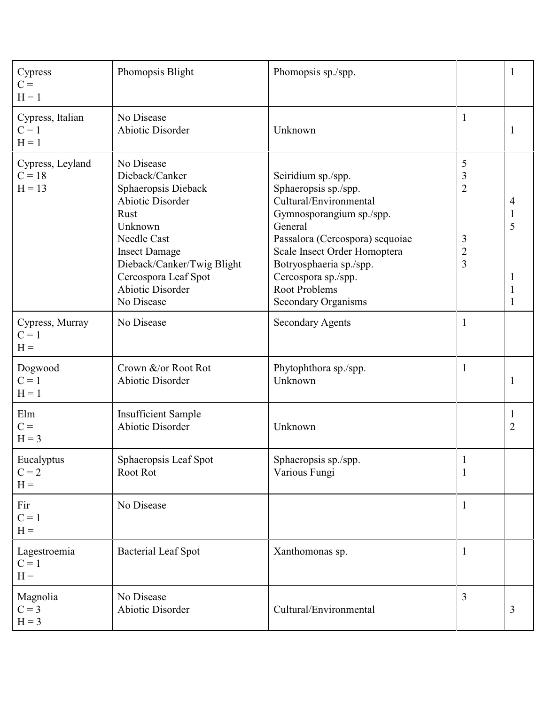| Cypress<br>$C =$<br>$H = 1$              | Phomopsis Blight                                                                                                                                                                                                                               | Phomopsis sp./spp.                                                                                                                                                                                                                                                                     |                                                      | 1                         |
|------------------------------------------|------------------------------------------------------------------------------------------------------------------------------------------------------------------------------------------------------------------------------------------------|----------------------------------------------------------------------------------------------------------------------------------------------------------------------------------------------------------------------------------------------------------------------------------------|------------------------------------------------------|---------------------------|
| Cypress, Italian<br>$C = 1$<br>$H = 1$   | No Disease<br><b>Abiotic Disorder</b>                                                                                                                                                                                                          | Unknown                                                                                                                                                                                                                                                                                | 1                                                    | $\mathbf{1}$              |
| Cypress, Leyland<br>$C = 18$<br>$H = 13$ | No Disease<br>Dieback/Canker<br>Sphaeropsis Dieback<br><b>Abiotic Disorder</b><br>Rust<br>Unknown<br><b>Needle Cast</b><br><b>Insect Damage</b><br>Dieback/Canker/Twig Blight<br>Cercospora Leaf Spot<br><b>Abiotic Disorder</b><br>No Disease | Seiridium sp./spp.<br>Sphaeropsis sp./spp.<br>Cultural/Environmental<br>Gymnosporangium sp./spp.<br>General<br>Passalora (Cercospora) sequoiae<br>Scale Insect Order Homoptera<br>Botryosphaeria sp./spp.<br>Cercospora sp./spp.<br><b>Root Problems</b><br><b>Secondary Organisms</b> | 5<br>$\mathfrak{Z}$<br>$\overline{2}$<br>3<br>2<br>3 | 4<br>1<br>5<br>1          |
| Cypress, Murray<br>$C = 1$<br>$H =$      | No Disease                                                                                                                                                                                                                                     | <b>Secondary Agents</b>                                                                                                                                                                                                                                                                | 1                                                    |                           |
| Dogwood<br>$C = 1$<br>$H = 1$            | Crown &/or Root Rot<br><b>Abiotic Disorder</b>                                                                                                                                                                                                 | Phytophthora sp./spp.<br>Unknown                                                                                                                                                                                                                                                       | 1                                                    | 1                         |
| Elm<br>$C =$<br>$H = 3$                  | <b>Insufficient Sample</b><br><b>Abiotic Disorder</b>                                                                                                                                                                                          | Unknown                                                                                                                                                                                                                                                                                |                                                      | $\perp$<br>$\overline{2}$ |
| Eucalyptus<br>$C = 2$<br>$H =$           | Sphaeropsis Leaf Spot<br>Root Rot                                                                                                                                                                                                              | Sphaeropsis sp./spp.<br>Various Fungi                                                                                                                                                                                                                                                  | $\mathbf{1}$<br>$\mathbf{1}$                         |                           |
| Fir<br>$C = 1$<br>$H =$                  | No Disease                                                                                                                                                                                                                                     |                                                                                                                                                                                                                                                                                        | 1                                                    |                           |
| Lagestroemia<br>$C = 1$<br>$H =$         | <b>Bacterial Leaf Spot</b>                                                                                                                                                                                                                     | Xanthomonas sp.                                                                                                                                                                                                                                                                        | 1                                                    |                           |
| Magnolia<br>$C = 3$<br>$H = 3$           | No Disease<br><b>Abiotic Disorder</b>                                                                                                                                                                                                          | Cultural/Environmental                                                                                                                                                                                                                                                                 | 3                                                    | 3                         |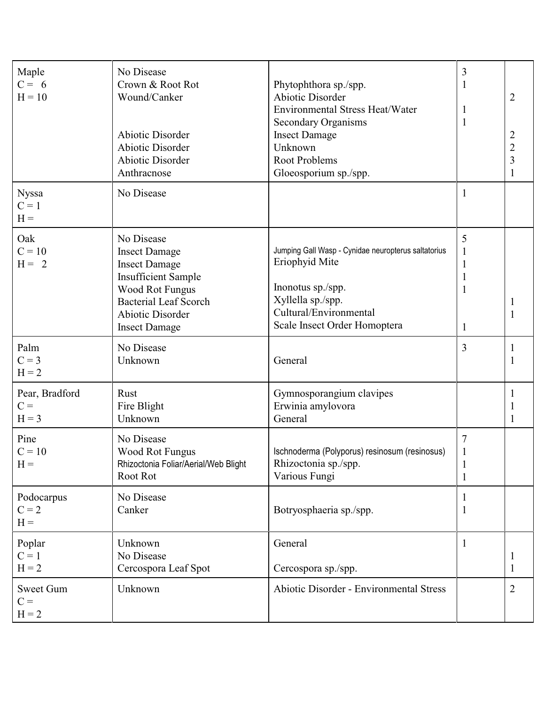| Maple<br>$C = 6$<br>$H = 10$       | No Disease<br>Crown & Root Rot<br>Wound/Canker<br>Abiotic Disorder<br><b>Abiotic Disorder</b><br><b>Abiotic Disorder</b><br>Anthracnose                                                               | Phytophthora sp./spp.<br><b>Abiotic Disorder</b><br><b>Environmental Stress Heat/Water</b><br><b>Secondary Organisms</b><br><b>Insect Damage</b><br>Unknown<br><b>Root Problems</b><br>Gloeosporium sp./spp. | 3<br>1<br>$\mathbf{1}$                       | $\overline{2}$<br>$\overline{2}$<br>$\overline{c}$<br>3 |
|------------------------------------|-------------------------------------------------------------------------------------------------------------------------------------------------------------------------------------------------------|--------------------------------------------------------------------------------------------------------------------------------------------------------------------------------------------------------------|----------------------------------------------|---------------------------------------------------------|
| <b>Nyssa</b><br>$C = 1$<br>$H =$   | No Disease                                                                                                                                                                                            |                                                                                                                                                                                                              | 1                                            |                                                         |
| Oak<br>$C = 10$<br>$H = 2$         | No Disease<br><b>Insect Damage</b><br><b>Insect Damage</b><br><b>Insufficient Sample</b><br><b>Wood Rot Fungus</b><br><b>Bacterial Leaf Scorch</b><br><b>Abiotic Disorder</b><br><b>Insect Damage</b> | Jumping Gall Wasp - Cynidae neuropterus saltatorius<br>Eriophyid Mite<br>Inonotus sp./spp.<br>Xyllella sp./spp.<br>Cultural/Environmental<br>Scale Insect Order Homoptera                                    | 5<br>1<br>1                                  |                                                         |
| Palm<br>$C = 3$<br>$H = 2$         | No Disease<br>Unknown                                                                                                                                                                                 | General                                                                                                                                                                                                      | 3                                            |                                                         |
| Pear, Bradford<br>$C =$<br>$H = 3$ | Rust<br>Fire Blight<br>Unknown                                                                                                                                                                        | Gymnosporangium clavipes<br>Erwinia amylovora<br>General                                                                                                                                                     |                                              |                                                         |
| Pine<br>$C = 10$<br>$H =$          | No Disease<br><b>Wood Rot Fungus</b><br>Rhizoctonia Foliar/Aerial/Web Blight<br>Root Rot                                                                                                              | Ischnoderma (Polyporus) resinosum (resinosus)<br>Rhizoctonia sp./spp.<br>Various Fungi                                                                                                                       | $\overline{7}$<br>$\mathbf 1$<br>$\mathbf 1$ |                                                         |
| Podocarpus<br>$C = 2$<br>$H =$     | No Disease<br>Canker                                                                                                                                                                                  | Botryosphaeria sp./spp.                                                                                                                                                                                      | 1                                            |                                                         |
| Poplar<br>$C = 1$<br>$H = 2$       | Unknown<br>No Disease<br>Cercospora Leaf Spot                                                                                                                                                         | General<br>Cercospora sp./spp.                                                                                                                                                                               | 1                                            | 1                                                       |
| Sweet Gum<br>$C =$<br>$H = 2$      | Unknown                                                                                                                                                                                               | <b>Abiotic Disorder - Environmental Stress</b>                                                                                                                                                               |                                              | $\overline{2}$                                          |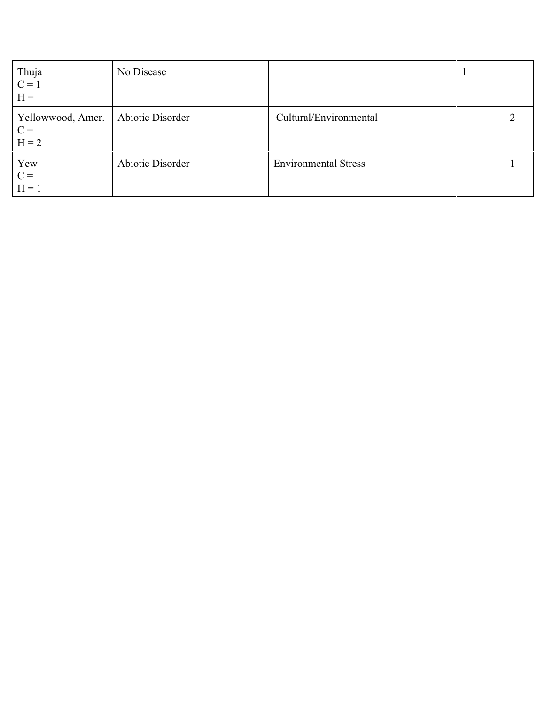| Thuja<br>$C = 1$<br>$H =$             | No Disease       |                             |  |
|---------------------------------------|------------------|-----------------------------|--|
| Yellowwood, Amer.<br>$C =$<br>$H = 2$ | Abiotic Disorder | Cultural/Environmental      |  |
| Yew<br>$C =$<br>$H = 1$               | Abiotic Disorder | <b>Environmental Stress</b> |  |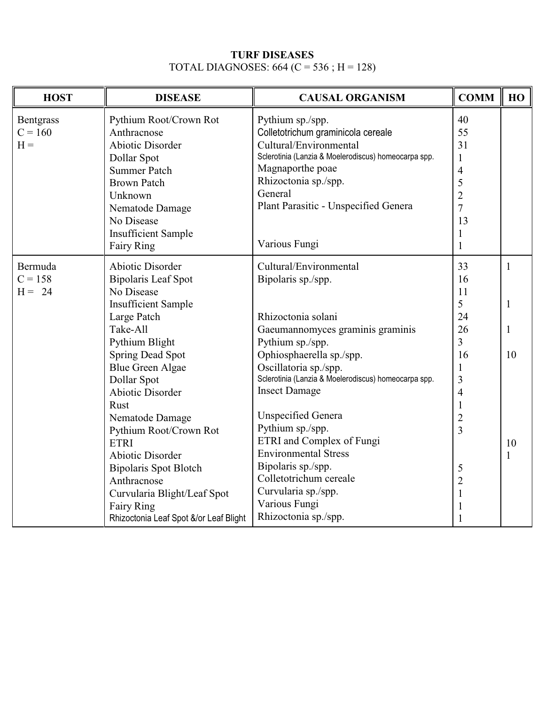### **TURF DISEASES** TOTAL DIAGNOSES: 664 (C = 536 ; H = 128)

| <b>HOST</b>      | <b>DISEASE</b>                         | <b>CAUSAL ORGANISM</b>                               | <b>COMM</b>    | HO           |
|------------------|----------------------------------------|------------------------------------------------------|----------------|--------------|
| <b>Bentgrass</b> | Pythium Root/Crown Rot                 | Pythium sp./spp.                                     | 40             |              |
| $C = 160$        | Anthracnose                            | Colletotrichum graminicola cereale                   | 55             |              |
| $H =$            | <b>Abiotic Disorder</b>                | Cultural/Environmental                               | 31             |              |
|                  | Dollar Spot                            | Sclerotinia (Lanzia & Moelerodiscus) homeocarpa spp. | 1              |              |
|                  | <b>Summer Patch</b>                    | Magnaporthe poae                                     | $\overline{4}$ |              |
|                  | <b>Brown Patch</b>                     | Rhizoctonia sp./spp.                                 | 5              |              |
|                  | Unknown                                | General                                              | $\overline{c}$ |              |
|                  | Nematode Damage                        | Plant Parasitic - Unspecified Genera                 | $\overline{7}$ |              |
|                  | No Disease                             |                                                      | 13             |              |
|                  | <b>Insufficient Sample</b>             |                                                      | 1              |              |
|                  | Fairy Ring                             | Various Fungi                                        | $\mathbf{1}$   |              |
| Bermuda          | <b>Abiotic Disorder</b>                | Cultural/Environmental                               | 33             | $\mathbf{1}$ |
| $C = 158$        | <b>Bipolaris Leaf Spot</b>             | Bipolaris sp./spp.                                   | 16             |              |
| $H = 24$         | No Disease                             |                                                      | 11             |              |
|                  | <b>Insufficient Sample</b>             |                                                      | 5              | 1            |
|                  | Large Patch                            | Rhizoctonia solani                                   | 24             |              |
|                  | Take-All                               | Gaeumannomyces graminis graminis                     | 26             | 1            |
|                  | Pythium Blight                         | Pythium sp./spp.                                     | $\overline{3}$ |              |
|                  | <b>Spring Dead Spot</b>                | Ophiosphaerella sp./spp.                             | 16             | 10           |
|                  | <b>Blue Green Algae</b>                | Oscillatoria sp./spp.                                | 1              |              |
|                  | Dollar Spot                            | Sclerotinia (Lanzia & Moelerodiscus) homeocarpa spp. | 3              |              |
|                  | <b>Abiotic Disorder</b>                | <b>Insect Damage</b>                                 | $\overline{4}$ |              |
|                  | Rust                                   |                                                      | $\mathbf{1}$   |              |
|                  | Nematode Damage                        | <b>Unspecified Genera</b>                            | $\overline{2}$ |              |
|                  | Pythium Root/Crown Rot                 | Pythium sp./spp.                                     | $\overline{3}$ |              |
|                  | <b>ETRI</b>                            | ETRI and Complex of Fungi                            |                | 10           |
|                  | Abiotic Disorder                       | <b>Environmental Stress</b>                          |                | 1            |
|                  | <b>Bipolaris Spot Blotch</b>           | Bipolaris sp./spp.                                   | 5              |              |
|                  | Anthracnose                            | Colletotrichum cereale                               | $\overline{2}$ |              |
|                  | Curvularia Blight/Leaf Spot            | Curvularia sp./spp.                                  | $\mathbf{1}$   |              |
|                  | Fairy Ring                             | Various Fungi                                        | 1              |              |
|                  | Rhizoctonia Leaf Spot &/or Leaf Blight | Rhizoctonia sp./spp.                                 | 1              |              |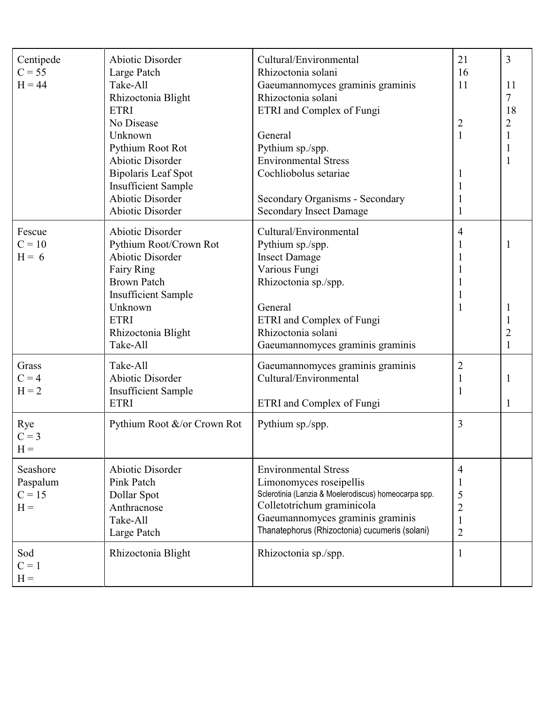| Centipede<br>$C = 55$<br>$H = 44$         | Abiotic Disorder<br>Large Patch<br>Take-All<br>Rhizoctonia Blight<br><b>ETRI</b><br>No Disease<br>Unknown<br>Pythium Root Rot<br><b>Abiotic Disorder</b><br><b>Bipolaris Leaf Spot</b><br><b>Insufficient Sample</b><br><b>Abiotic Disorder</b><br><b>Abiotic Disorder</b> | Cultural/Environmental<br>Rhizoctonia solani<br>Gaeumannomyces graminis graminis<br>Rhizoctonia solani<br>ETRI and Complex of Fungi<br>General<br>Pythium sp./spp.<br><b>Environmental Stress</b><br>Cochliobolus setariae<br>Secondary Organisms - Secondary<br><b>Secondary Insect Damage</b> | 21<br>16<br>11<br>$\overline{2}$<br>$\mathbf{1}$<br>1<br>1<br>1 | 3<br>11<br>7<br>18<br>$\overline{2}$<br>1 |
|-------------------------------------------|----------------------------------------------------------------------------------------------------------------------------------------------------------------------------------------------------------------------------------------------------------------------------|-------------------------------------------------------------------------------------------------------------------------------------------------------------------------------------------------------------------------------------------------------------------------------------------------|-----------------------------------------------------------------|-------------------------------------------|
| Fescue<br>$C = 10$<br>$H = 6$             | <b>Abiotic Disorder</b><br>Pythium Root/Crown Rot<br><b>Abiotic Disorder</b><br>Fairy Ring<br><b>Brown Patch</b><br><b>Insufficient Sample</b><br>Unknown<br><b>ETRI</b><br>Rhizoctonia Blight<br>Take-All                                                                 | Cultural/Environmental<br>Pythium sp./spp.<br><b>Insect Damage</b><br>Various Fungi<br>Rhizoctonia sp./spp.<br>General<br>ETRI and Complex of Fungi<br>Rhizoctonia solani<br>Gaeumannomyces graminis graminis                                                                                   | $\overline{4}$<br>1                                             | $\mathbf{1}$                              |
| Grass<br>$C = 4$<br>$H = 2$               | Take-All<br><b>Abiotic Disorder</b><br><b>Insufficient Sample</b><br><b>ETRI</b>                                                                                                                                                                                           | Gaeumannomyces graminis graminis<br>Cultural/Environmental<br>ETRI and Complex of Fungi                                                                                                                                                                                                         | $\overline{2}$<br>1<br>$\mathbf{1}$                             | 1<br>1                                    |
| Rye<br>$C = 3$<br>$H =$                   | Pythium Root &/or Crown Rot                                                                                                                                                                                                                                                | Pythium sp./spp.                                                                                                                                                                                                                                                                                | 3                                                               |                                           |
| Seashore<br>Paspalum<br>$C = 15$<br>$H =$ | Abiotic Disorder<br>Pink Patch<br>Dollar Spot<br>Anthracnose<br>Take-All<br>Large Patch                                                                                                                                                                                    | <b>Environmental Stress</b><br>Limonomyces roseipellis<br>Sclerotinia (Lanzia & Moelerodiscus) homeocarpa spp.<br>Colletotrichum graminicola<br>Gaeumannomyces graminis graminis<br>Thanatephorus (Rhizoctonia) cucumeris (solani)                                                              | 4<br>1<br>5<br>$\overline{c}$<br>1<br>$\overline{2}$            |                                           |
| Sod<br>$C = 1$<br>$H =$                   | Rhizoctonia Blight                                                                                                                                                                                                                                                         | Rhizoctonia sp./spp.                                                                                                                                                                                                                                                                            | $\mathbf{1}$                                                    |                                           |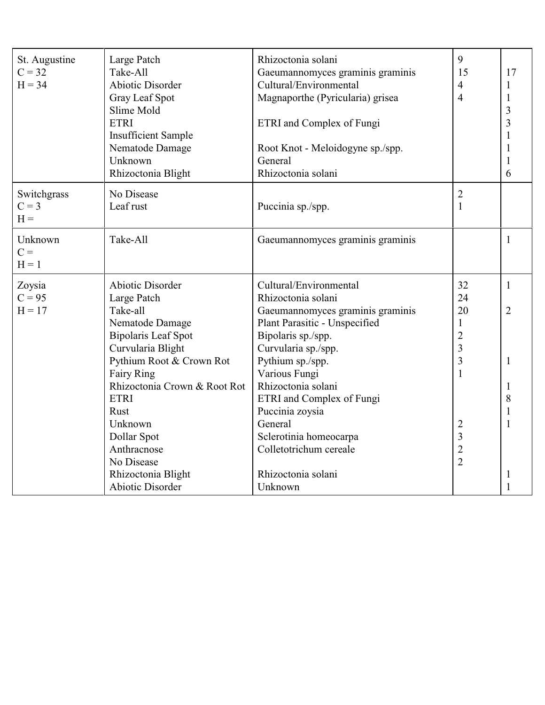| St. Augustine<br>$C = 32$<br>$H = 34$ | Large Patch<br>Take-All<br><b>Abiotic Disorder</b><br>Gray Leaf Spot<br>Slime Mold<br><b>ETRI</b><br><b>Insufficient Sample</b><br>Nematode Damage<br>Unknown<br>Rhizoctonia Blight | Rhizoctonia solani<br>Gaeumannomyces graminis graminis<br>Cultural/Environmental<br>Magnaporthe (Pyricularia) grisea<br>ETRI and Complex of Fungi<br>Root Knot - Meloidogyne sp./spp.<br>General<br>Rhizoctonia solani | 9<br>15<br>4<br>$\overline{4}$ | 17<br>1<br>1<br>3<br>3<br>6 |
|---------------------------------------|-------------------------------------------------------------------------------------------------------------------------------------------------------------------------------------|------------------------------------------------------------------------------------------------------------------------------------------------------------------------------------------------------------------------|--------------------------------|-----------------------------|
| Switchgrass<br>$C = 3$<br>$H =$       | No Disease<br>Leaf rust                                                                                                                                                             | Puccinia sp./spp.                                                                                                                                                                                                      | $\overline{2}$<br>$\mathbf{1}$ |                             |
| Unknown<br>$C =$<br>$H = 1$           | Take-All                                                                                                                                                                            | Gaeumannomyces graminis graminis                                                                                                                                                                                       |                                | $\mathbf{1}$                |
| Zoysia                                | <b>Abiotic Disorder</b>                                                                                                                                                             | Cultural/Environmental                                                                                                                                                                                                 | 32                             | $\mathbf{1}$                |
| $C = 95$                              | Large Patch                                                                                                                                                                         | Rhizoctonia solani                                                                                                                                                                                                     | 24                             |                             |
| $H = 17$                              | Take-all                                                                                                                                                                            | Gaeumannomyces graminis graminis                                                                                                                                                                                       | 20                             | $\overline{2}$              |
|                                       | Nematode Damage                                                                                                                                                                     | Plant Parasitic - Unspecified                                                                                                                                                                                          | $\mathbf{1}$                   |                             |
|                                       | <b>Bipolaris Leaf Spot</b>                                                                                                                                                          | Bipolaris sp./spp.                                                                                                                                                                                                     | $\overline{2}$                 |                             |
|                                       | Curvularia Blight                                                                                                                                                                   | Curvularia sp./spp.                                                                                                                                                                                                    | 3                              |                             |
|                                       | Pythium Root & Crown Rot                                                                                                                                                            | Pythium sp./spp.                                                                                                                                                                                                       | 3                              | $\mathbf{1}$                |
|                                       | <b>Fairy Ring</b>                                                                                                                                                                   | Various Fungi                                                                                                                                                                                                          | $\mathbf{1}$                   |                             |
|                                       | Rhizoctonia Crown & Root Rot                                                                                                                                                        | Rhizoctonia solani                                                                                                                                                                                                     |                                | 1                           |
|                                       | <b>ETRI</b>                                                                                                                                                                         | ETRI and Complex of Fungi                                                                                                                                                                                              |                                | 8                           |
|                                       | Rust                                                                                                                                                                                | Puccinia zoysia                                                                                                                                                                                                        |                                |                             |
|                                       | Unknown                                                                                                                                                                             | General                                                                                                                                                                                                                | 2                              | 1                           |
|                                       | Dollar Spot                                                                                                                                                                         | Sclerotinia homeocarpa                                                                                                                                                                                                 | 3                              |                             |
|                                       | Anthracnose                                                                                                                                                                         | Colletotrichum cereale                                                                                                                                                                                                 | $\overline{2}$                 |                             |
|                                       | No Disease                                                                                                                                                                          |                                                                                                                                                                                                                        | $\overline{2}$                 |                             |
|                                       | Rhizoctonia Blight                                                                                                                                                                  | Rhizoctonia solani                                                                                                                                                                                                     |                                | 1                           |
|                                       | <b>Abiotic Disorder</b>                                                                                                                                                             | Unknown                                                                                                                                                                                                                |                                |                             |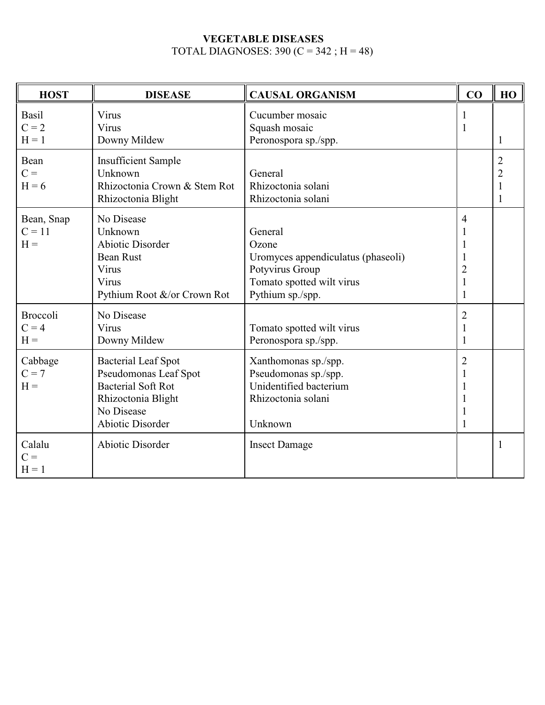### **VEGETABLE DISEASES** TOTAL DIAGNOSES:  $390 (C = 342 ; H = 48)$

| <b>HOST</b>                         | <b>DISEASE</b>                                                                                                                                  | <b>CAUSAL ORGANISM</b>                                                                                                     | CO                                                                              | HO                               |
|-------------------------------------|-------------------------------------------------------------------------------------------------------------------------------------------------|----------------------------------------------------------------------------------------------------------------------------|---------------------------------------------------------------------------------|----------------------------------|
| <b>Basil</b><br>$C = 2$<br>$H = 1$  | Virus<br>Virus<br>Downy Mildew                                                                                                                  | Cucumber mosaic<br>Squash mosaic<br>Peronospora sp./spp.                                                                   | 1<br>$\mathbf{1}$                                                               | 1                                |
| Bean<br>$C =$<br>$H = 6$            | <b>Insufficient Sample</b><br>Unknown<br>Rhizoctonia Crown & Stem Rot<br>Rhizoctonia Blight                                                     | General<br>Rhizoctonia solani<br>Rhizoctonia solani                                                                        |                                                                                 | $\overline{2}$<br>$\overline{c}$ |
| Bean, Snap<br>$C = 11$<br>$H =$     | No Disease<br>Unknown<br><b>Abiotic Disorder</b><br><b>Bean Rust</b><br>Virus<br>Virus<br>Pythium Root &/or Crown Rot                           | General<br>Ozone<br>Uromyces appendiculatus (phaseoli)<br>Potyvirus Group<br>Tomato spotted wilt virus<br>Pythium sp./spp. | $\overline{4}$<br>1<br>1<br>1<br>$\overline{c}$<br>$\mathbf{1}$<br>$\mathbf{1}$ |                                  |
| <b>Broccoli</b><br>$C = 4$<br>$H =$ | No Disease<br>Virus<br>Downy Mildew                                                                                                             | Tomato spotted wilt virus<br>Peronospora sp./spp.                                                                          | $\overline{2}$<br>1<br>1                                                        |                                  |
| Cabbage<br>$C = 7$<br>$H =$         | <b>Bacterial Leaf Spot</b><br>Pseudomonas Leaf Spot<br><b>Bacterial Soft Rot</b><br>Rhizoctonia Blight<br>No Disease<br><b>Abiotic Disorder</b> | Xanthomonas sp./spp.<br>Pseudomonas sp./spp.<br>Unidentified bacterium<br>Rhizoctonia solani<br>Unknown                    | $\overline{2}$<br>1<br>1<br>1<br>1<br>1                                         |                                  |
| Calalu<br>$C =$<br>$H = 1$          | <b>Abiotic Disorder</b>                                                                                                                         | <b>Insect Damage</b>                                                                                                       |                                                                                 |                                  |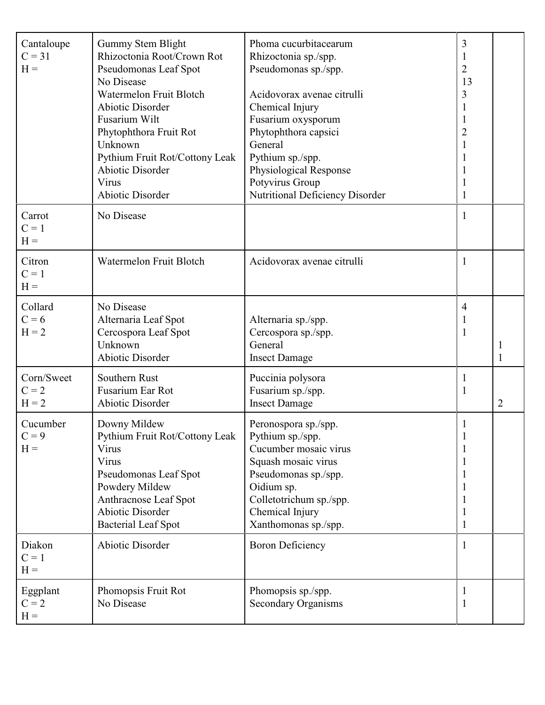| Cantaloupe<br>$C = 31$<br>$H =$  | Gummy Stem Blight<br>Rhizoctonia Root/Crown Rot<br>Pseudomonas Leaf Spot<br>No Disease<br>Watermelon Fruit Blotch<br><b>Abiotic Disorder</b><br>Fusarium Wilt<br>Phytophthora Fruit Rot<br>Unknown<br>Pythium Fruit Rot/Cottony Leak<br><b>Abiotic Disorder</b><br>Virus<br><b>Abiotic Disorder</b> | Phoma cucurbitacearum<br>Rhizoctonia sp./spp.<br>Pseudomonas sp./spp.<br>Acidovorax avenae citrulli<br>Chemical Injury<br>Fusarium oxysporum<br>Phytophthora capsici<br>General<br>Pythium sp./spp.<br>Physiological Response<br>Potyvirus Group<br>Nutritional Deficiency Disorder | 3<br>$\mathbf{1}$<br>$\overline{2}$<br>13<br>3<br>1<br>$\mathbf{1}$<br>$\overline{2}$<br>$\mathbf{1}$<br>1 |                |
|----------------------------------|-----------------------------------------------------------------------------------------------------------------------------------------------------------------------------------------------------------------------------------------------------------------------------------------------------|-------------------------------------------------------------------------------------------------------------------------------------------------------------------------------------------------------------------------------------------------------------------------------------|------------------------------------------------------------------------------------------------------------|----------------|
| Carrot<br>$C = 1$<br>$H =$       | No Disease                                                                                                                                                                                                                                                                                          |                                                                                                                                                                                                                                                                                     | $\mathbf{1}$                                                                                               |                |
| Citron<br>$C = 1$<br>$H =$       | Watermelon Fruit Blotch                                                                                                                                                                                                                                                                             | Acidovorax avenae citrulli                                                                                                                                                                                                                                                          | 1                                                                                                          |                |
| Collard<br>$C = 6$<br>$H = 2$    | No Disease<br>Alternaria Leaf Spot<br>Cercospora Leaf Spot<br>Unknown<br><b>Abiotic Disorder</b>                                                                                                                                                                                                    | Alternaria sp./spp.<br>Cercospora sp./spp.<br>General<br><b>Insect Damage</b>                                                                                                                                                                                                       | $\overline{4}$<br>$\mathbf{1}$<br>$\mathbf{1}$                                                             |                |
| Corn/Sweet<br>$C = 2$<br>$H = 2$ | Southern Rust<br>Fusarium Ear Rot<br><b>Abiotic Disorder</b>                                                                                                                                                                                                                                        | Puccinia polysora<br>Fusarium sp./spp.<br><b>Insect Damage</b>                                                                                                                                                                                                                      | 1<br>1                                                                                                     | $\overline{2}$ |
| Cucumber<br>$C = 9$<br>$H =$     | Downy Mildew<br>Pythium Fruit Rot/Cottony Leak<br>Virus<br>Virus<br>Pseudomonas Leaf Spot<br>Powdery Mildew<br>Anthracnose Leaf Spot<br><b>Abiotic Disorder</b><br><b>Bacterial Leaf Spot</b>                                                                                                       | Peronospora sp./spp.<br>Pythium sp./spp.<br>Cucumber mosaic virus<br>Squash mosaic virus<br>Pseudomonas sp./spp.<br>Oidium sp.<br>Colletotrichum sp./spp.<br>Chemical Injury<br>Xanthomonas sp./spp.                                                                                | $\mathbf{1}$<br>1<br>1<br>1<br>1<br>$\mathbf{1}$<br>$\mathbf{1}$                                           |                |
| Diakon<br>$C = 1$<br>$H =$       | <b>Abiotic Disorder</b>                                                                                                                                                                                                                                                                             | <b>Boron Deficiency</b>                                                                                                                                                                                                                                                             | $\perp$                                                                                                    |                |
| Eggplant<br>$C = 2$<br>$H =$     | Phomopsis Fruit Rot<br>No Disease                                                                                                                                                                                                                                                                   | Phomopsis sp./spp.<br><b>Secondary Organisms</b>                                                                                                                                                                                                                                    | 1<br>$\mathbf{1}$                                                                                          |                |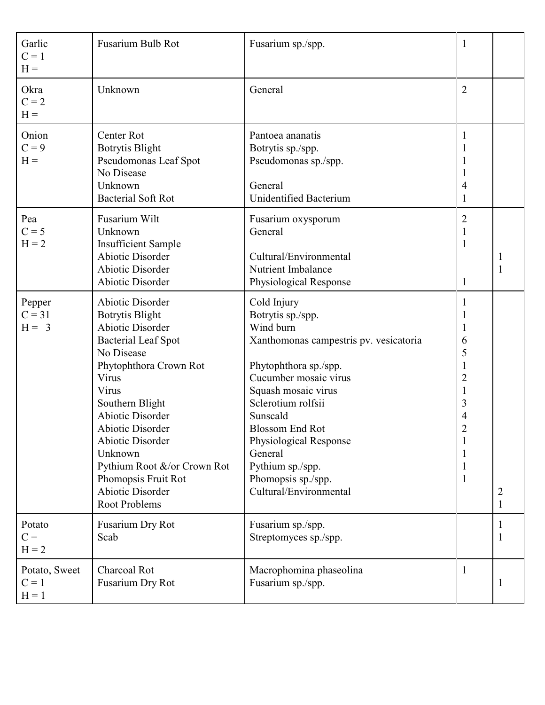| Garlic<br>$C = 1$<br>$H =$          | Fusarium Bulb Rot                                                                                                                                                                                                                                                                                                                                                                     | Fusarium sp./spp.                                                                                                                                                                                                                                                                                                                     | $\mathbf{1}$                                                                                                                                                                                            |        |
|-------------------------------------|---------------------------------------------------------------------------------------------------------------------------------------------------------------------------------------------------------------------------------------------------------------------------------------------------------------------------------------------------------------------------------------|---------------------------------------------------------------------------------------------------------------------------------------------------------------------------------------------------------------------------------------------------------------------------------------------------------------------------------------|---------------------------------------------------------------------------------------------------------------------------------------------------------------------------------------------------------|--------|
| Okra<br>$C = 2$<br>$H =$            | Unknown                                                                                                                                                                                                                                                                                                                                                                               | General                                                                                                                                                                                                                                                                                                                               | $\overline{2}$                                                                                                                                                                                          |        |
| Onion<br>$C = 9$<br>$H =$           | Center Rot<br><b>Botrytis Blight</b><br>Pseudomonas Leaf Spot<br>No Disease<br>Unknown<br><b>Bacterial Soft Rot</b>                                                                                                                                                                                                                                                                   | Pantoea ananatis<br>Botrytis sp./spp.<br>Pseudomonas sp./spp.<br>General<br>Unidentified Bacterium                                                                                                                                                                                                                                    | 1<br>1<br>$\mathbf{1}$<br>$\mathbf{1}$<br>$\overline{4}$<br>$\mathbf{1}$                                                                                                                                |        |
| Pea<br>$C = 5$<br>$H = 2$           | Fusarium Wilt<br>Unknown<br><b>Insufficient Sample</b><br><b>Abiotic Disorder</b><br><b>Abiotic Disorder</b><br>Abiotic Disorder                                                                                                                                                                                                                                                      | Fusarium oxysporum<br>General<br>Cultural/Environmental<br>Nutrient Imbalance<br>Physiological Response                                                                                                                                                                                                                               | $\overline{2}$<br>$\mathbf{1}$<br>$\mathbf{1}$<br>$\mathbf{1}$                                                                                                                                          | 1      |
| Pepper<br>$C = 31$<br>$H = 3$       | <b>Abiotic Disorder</b><br><b>Botrytis Blight</b><br><b>Abiotic Disorder</b><br><b>Bacterial Leaf Spot</b><br>No Disease<br>Phytophthora Crown Rot<br>Virus<br>Virus<br>Southern Blight<br><b>Abiotic Disorder</b><br>Abiotic Disorder<br><b>Abiotic Disorder</b><br>Unknown<br>Pythium Root &/or Crown Rot<br>Phomopsis Fruit Rot<br><b>Abiotic Disorder</b><br><b>Root Problems</b> | Cold Injury<br>Botrytis sp./spp.<br>Wind burn<br>Xanthomonas campestris pv. vesicatoria<br>Phytophthora sp./spp.<br>Cucumber mosaic virus<br>Squash mosaic virus<br>Sclerotium rolfsii<br>Sunscald<br><b>Blossom End Rot</b><br>Physiological Response<br>General<br>Pythium sp./spp.<br>Phomopsis sp./spp.<br>Cultural/Environmental | 1<br>$\mathbf{1}$<br>$\mathbf{1}$<br>6<br>5<br>$\mathbf{1}$<br>$\overline{2}$<br>$\mathbf{1}$<br>$\mathfrak{Z}$<br>$\overline{4}$<br>$\overline{2}$<br>1<br>$\mathbf 1$<br>$\mathbf{1}$<br>$\mathbf{1}$ | 2<br>1 |
| Potato<br>$C =$<br>$H = 2$          | Fusarium Dry Rot<br>Scab                                                                                                                                                                                                                                                                                                                                                              | Fusarium sp./spp.<br>Streptomyces sp./spp.                                                                                                                                                                                                                                                                                            |                                                                                                                                                                                                         |        |
| Potato, Sweet<br>$C = 1$<br>$H = 1$ | Charcoal Rot<br>Fusarium Dry Rot                                                                                                                                                                                                                                                                                                                                                      | Macrophomina phaseolina<br>Fusarium sp./spp.                                                                                                                                                                                                                                                                                          | 1                                                                                                                                                                                                       | 1      |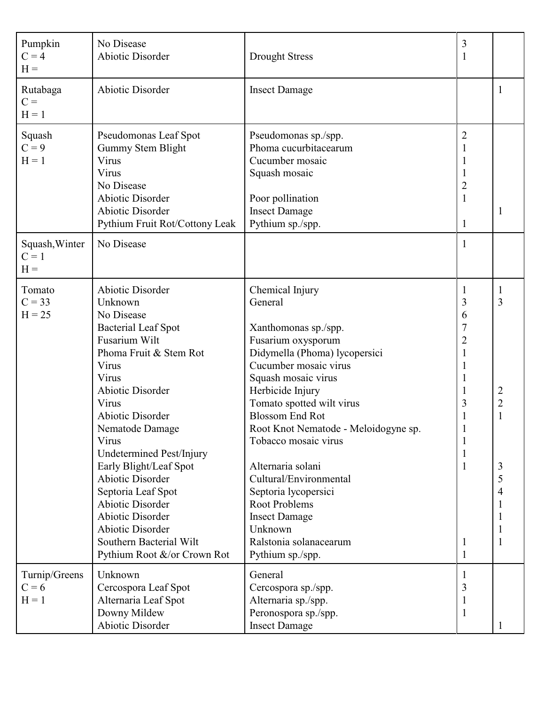| Pumpkin<br>$C = 4$<br>$H =$                               | No Disease<br><b>Abiotic Disorder</b>                                                                                                                                                                                                                                                                                                                                                                                                                                             | <b>Drought Stress</b>                                                                                                                                                                                                                                                                                                                                                                                                                                                                | $\mathfrak{Z}$<br>1                                                          |                  |
|-----------------------------------------------------------|-----------------------------------------------------------------------------------------------------------------------------------------------------------------------------------------------------------------------------------------------------------------------------------------------------------------------------------------------------------------------------------------------------------------------------------------------------------------------------------|--------------------------------------------------------------------------------------------------------------------------------------------------------------------------------------------------------------------------------------------------------------------------------------------------------------------------------------------------------------------------------------------------------------------------------------------------------------------------------------|------------------------------------------------------------------------------|------------------|
| Rutabaga<br>$C =$<br>$H = 1$                              | <b>Abiotic Disorder</b>                                                                                                                                                                                                                                                                                                                                                                                                                                                           | <b>Insect Damage</b>                                                                                                                                                                                                                                                                                                                                                                                                                                                                 |                                                                              | 1                |
| Squash<br>$C = 9$<br>$H = 1$<br>Squash, Winter<br>$C = 1$ | Pseudomonas Leaf Spot<br>Gummy Stem Blight<br>Virus<br>Virus<br>No Disease<br>Abiotic Disorder<br><b>Abiotic Disorder</b><br>Pythium Fruit Rot/Cottony Leak<br>No Disease                                                                                                                                                                                                                                                                                                         | Pseudomonas sp./spp.<br>Phoma cucurbitacearum<br>Cucumber mosaic<br>Squash mosaic<br>Poor pollination<br><b>Insect Damage</b><br>Pythium sp./spp.                                                                                                                                                                                                                                                                                                                                    | $\overline{2}$<br>$\overline{c}$<br>$\mathbf{1}$<br>$\mathbf{1}$<br>1        |                  |
| $H =$                                                     |                                                                                                                                                                                                                                                                                                                                                                                                                                                                                   |                                                                                                                                                                                                                                                                                                                                                                                                                                                                                      |                                                                              |                  |
| Tomato<br>$C = 33$<br>$H = 25$                            | <b>Abiotic Disorder</b><br>Unknown<br>No Disease<br><b>Bacterial Leaf Spot</b><br>Fusarium Wilt<br>Phoma Fruit & Stem Rot<br>Virus<br>Virus<br><b>Abiotic Disorder</b><br>Virus<br><b>Abiotic Disorder</b><br>Nematode Damage<br>Virus<br>Undetermined Pest/Injury<br>Early Blight/Leaf Spot<br>Abiotic Disorder<br>Septoria Leaf Spot<br><b>Abiotic Disorder</b><br><b>Abiotic Disorder</b><br><b>Abiotic Disorder</b><br>Southern Bacterial Wilt<br>Pythium Root &/or Crown Rot | Chemical Injury<br>General<br>Xanthomonas sp./spp.<br>Fusarium oxysporum<br>Didymella (Phoma) lycopersici<br>Cucumber mosaic virus<br>Squash mosaic virus<br>Herbicide Injury<br>Tomato spotted wilt virus<br><b>Blossom End Rot</b><br>Root Knot Nematode - Meloidogyne sp.<br>Tobacco mosaic virus<br>Alternaria solani<br>Cultural/Environmental<br>Septoria lycopersici<br><b>Root Problems</b><br><b>Insect Damage</b><br>Unknown<br>Ralstonia solanacearum<br>Pythium sp./spp. | 1<br>3<br>6<br>7<br>$\overline{2}$<br>$\mathbf{1}$<br>3<br>1<br>$\mathbf{I}$ | 3<br>2<br>3<br>5 |
| Turnip/Greens<br>$C = 6$<br>$H = 1$                       | Unknown<br>Cercospora Leaf Spot<br>Alternaria Leaf Spot<br>Downy Mildew<br><b>Abiotic Disorder</b>                                                                                                                                                                                                                                                                                                                                                                                | General<br>Cercospora sp./spp.<br>Alternaria sp./spp.<br>Peronospora sp./spp.<br><b>Insect Damage</b>                                                                                                                                                                                                                                                                                                                                                                                | 3<br>1                                                                       |                  |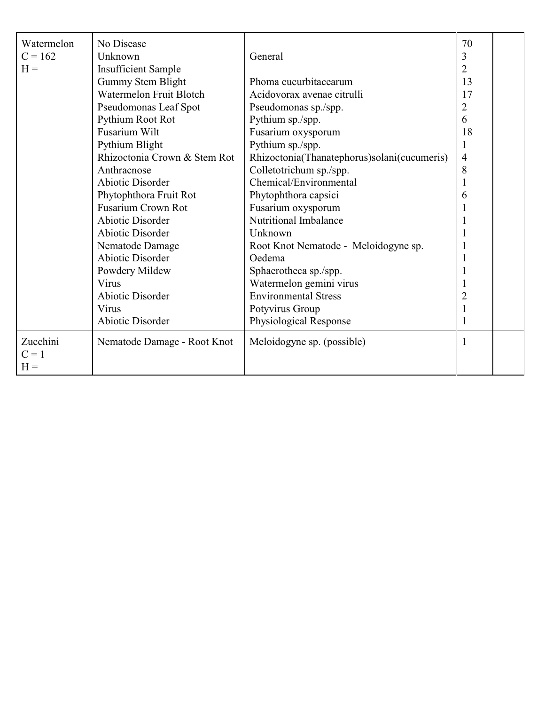| Watermelon<br>$C = 162$<br>$H =$ | No Disease<br>Unknown<br><b>Insufficient Sample</b><br>Gummy Stem Blight<br><b>Watermelon Fruit Blotch</b><br>Pseudomonas Leaf Spot<br>Pythium Root Rot<br>Fusarium Wilt<br>Pythium Blight<br>Rhizoctonia Crown & Stem Rot<br>Anthracnose<br><b>Abiotic Disorder</b><br>Phytophthora Fruit Rot<br><b>Fusarium Crown Rot</b><br><b>Abiotic Disorder</b><br><b>Abiotic Disorder</b><br>Nematode Damage<br>Abiotic Disorder<br>Powdery Mildew<br>Virus<br>Abiotic Disorder<br>Virus | General<br>Phoma cucurbitacearum<br>Acidovorax avenae citrulli<br>Pseudomonas sp./spp.<br>Pythium sp./spp.<br>Fusarium oxysporum<br>Pythium sp./spp.<br>Rhizoctonia(Thanatephorus)solani(cucumeris)<br>Colletotrichum sp./spp.<br>Chemical/Environmental<br>Phytophthora capsici<br>Fusarium oxysporum<br>Nutritional Imbalance<br>Unknown<br>Root Knot Nematode - Meloidogyne sp.<br>Oedema<br>Sphaerotheca sp./spp.<br>Watermelon gemini virus<br><b>Environmental Stress</b><br>Potyvirus Group | 70<br>3<br>$\overline{2}$<br>13<br>17<br>$\overline{2}$<br>6<br>18<br>4<br>8<br>1<br>6<br>2 |  |
|----------------------------------|----------------------------------------------------------------------------------------------------------------------------------------------------------------------------------------------------------------------------------------------------------------------------------------------------------------------------------------------------------------------------------------------------------------------------------------------------------------------------------|----------------------------------------------------------------------------------------------------------------------------------------------------------------------------------------------------------------------------------------------------------------------------------------------------------------------------------------------------------------------------------------------------------------------------------------------------------------------------------------------------|---------------------------------------------------------------------------------------------|--|
|                                  | Abiotic Disorder                                                                                                                                                                                                                                                                                                                                                                                                                                                                 | Physiological Response                                                                                                                                                                                                                                                                                                                                                                                                                                                                             |                                                                                             |  |
| Zucchini<br>$C = 1$<br>$H =$     | Nematode Damage - Root Knot                                                                                                                                                                                                                                                                                                                                                                                                                                                      | Meloidogyne sp. (possible)                                                                                                                                                                                                                                                                                                                                                                                                                                                                         | 1                                                                                           |  |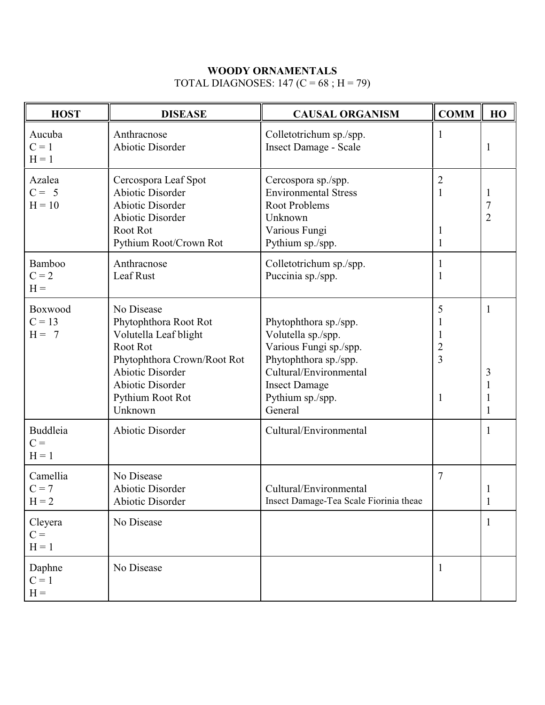### **WOODY ORNAMENTALS**

# TOTAL DIAGNOSES: 147 ( $C = 68$ ; H = 79)

| <b>HOST</b>                         | <b>DISEASE</b>                                                                                                                                                                               | <b>CAUSAL ORGANISM</b>                                                                                                                                                          | <b>COMM</b>                                           | HO                     |
|-------------------------------------|----------------------------------------------------------------------------------------------------------------------------------------------------------------------------------------------|---------------------------------------------------------------------------------------------------------------------------------------------------------------------------------|-------------------------------------------------------|------------------------|
| Aucuba<br>$C = 1$<br>$H = 1$        | Anthracnose<br><b>Abiotic Disorder</b>                                                                                                                                                       | Colletotrichum sp./spp.<br><b>Insect Damage - Scale</b>                                                                                                                         | 1                                                     | 1                      |
| Azalea<br>$C = 5$<br>$H = 10$       | Cercospora Leaf Spot<br><b>Abiotic Disorder</b><br><b>Abiotic Disorder</b><br><b>Abiotic Disorder</b><br>Root Rot<br>Pythium Root/Crown Rot                                                  | Cercospora sp./spp.<br><b>Environmental Stress</b><br><b>Root Problems</b><br>Unknown<br>Various Fungi<br>Pythium sp./spp.                                                      | $\overline{2}$<br>1<br>1<br>1                         | 7<br>$\overline{2}$    |
| <b>Bamboo</b><br>$C = 2$<br>$H =$   | Anthracnose<br>Leaf Rust                                                                                                                                                                     | Colletotrichum sp./spp.<br>Puccinia sp./spp.                                                                                                                                    | 1                                                     |                        |
| Boxwood<br>$C = 13$<br>$H = 7$      | No Disease<br>Phytophthora Root Rot<br>Volutella Leaf blight<br>Root Rot<br>Phytophthora Crown/Root Rot<br><b>Abiotic Disorder</b><br><b>Abiotic Disorder</b><br>Pythium Root Rot<br>Unknown | Phytophthora sp./spp.<br>Volutella sp./spp.<br>Various Fungi sp./spp.<br>Phytophthora sp./spp.<br>Cultural/Environmental<br><b>Insect Damage</b><br>Pythium sp./spp.<br>General | 5<br>$\overline{2}$<br>$\overline{3}$<br>$\mathbf{1}$ | $\mathbf{1}$<br>3<br>1 |
| <b>Buddleia</b><br>$C =$<br>$H = 1$ | <b>Abiotic Disorder</b>                                                                                                                                                                      | Cultural/Environmental                                                                                                                                                          |                                                       | $\mathbf{1}$           |
| Camellia<br>$C = 7$<br>$H = 2$      | No Disease<br><b>Abiotic Disorder</b><br>Abiotic Disorder                                                                                                                                    | Cultural/Environmental<br>Insect Damage-Tea Scale Fiorinia theae                                                                                                                | $\overline{7}$                                        | 1                      |
| Cleyera<br>$C =$<br>$H = 1$         | No Disease                                                                                                                                                                                   |                                                                                                                                                                                 |                                                       | $\mathbf{1}$           |
| Daphne<br>$C = 1$<br>$H =$          | No Disease                                                                                                                                                                                   |                                                                                                                                                                                 | $\mathbf{1}$                                          |                        |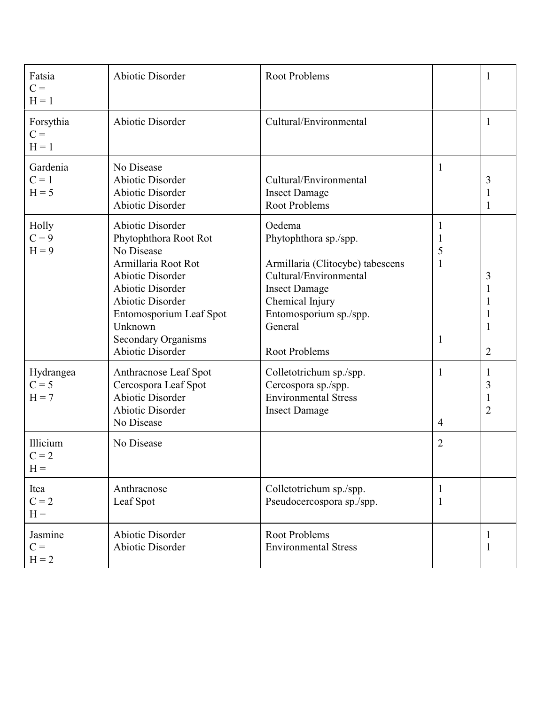| Fatsia<br>$C =$<br>$H = 1$      | <b>Abiotic Disorder</b>                                                                                                                                                                                                                                        | Root Problems                                                                                                                                                                                  |                     | 1           |
|---------------------------------|----------------------------------------------------------------------------------------------------------------------------------------------------------------------------------------------------------------------------------------------------------------|------------------------------------------------------------------------------------------------------------------------------------------------------------------------------------------------|---------------------|-------------|
| Forsythia<br>$C =$<br>$H = 1$   | <b>Abiotic Disorder</b>                                                                                                                                                                                                                                        | Cultural/Environmental                                                                                                                                                                         |                     | 1           |
| Gardenia<br>$C = 1$<br>$H = 5$  | No Disease<br><b>Abiotic Disorder</b><br><b>Abiotic Disorder</b><br><b>Abiotic Disorder</b>                                                                                                                                                                    | Cultural/Environmental<br><b>Insect Damage</b><br><b>Root Problems</b>                                                                                                                         | 1                   | 3<br>1<br>1 |
| Holly<br>$C = 9$<br>$H = 9$     | <b>Abiotic Disorder</b><br>Phytophthora Root Rot<br>No Disease<br>Armillaria Root Rot<br><b>Abiotic Disorder</b><br><b>Abiotic Disorder</b><br><b>Abiotic Disorder</b><br>Entomosporium Leaf Spot<br>Unknown<br><b>Secondary Organisms</b><br>Abiotic Disorder | Oedema<br>Phytophthora sp./spp.<br>Armillaria (Clitocybe) tabescens<br>Cultural/Environmental<br><b>Insect Damage</b><br>Chemical Injury<br>Entomosporium sp./spp.<br>General<br>Root Problems | 5<br>1<br>1         | 3<br>2      |
| Hydrangea<br>$C = 5$<br>$H = 7$ | Anthracnose Leaf Spot<br>Cercospora Leaf Spot<br>Abiotic Disorder<br><b>Abiotic Disorder</b><br>No Disease                                                                                                                                                     | Colletotrichum sp./spp.<br>Cercospora sp./spp.<br><b>Environmental Stress</b><br><b>Insect Damage</b>                                                                                          | 1<br>$\overline{4}$ | 1<br>3<br>2 |
| Illicium<br>$C = 2$<br>$H =$    | No Disease                                                                                                                                                                                                                                                     |                                                                                                                                                                                                | $\overline{2}$      |             |
| Itea<br>$C = 2$<br>$H =$        | Anthracnose<br>Leaf Spot                                                                                                                                                                                                                                       | Colletotrichum sp./spp.<br>Pseudocercospora sp./spp.                                                                                                                                           | 1                   |             |
| Jasmine<br>$C =$<br>$H = 2$     | <b>Abiotic Disorder</b><br><b>Abiotic Disorder</b>                                                                                                                                                                                                             | <b>Root Problems</b><br><b>Environmental Stress</b>                                                                                                                                            |                     | 1<br>1      |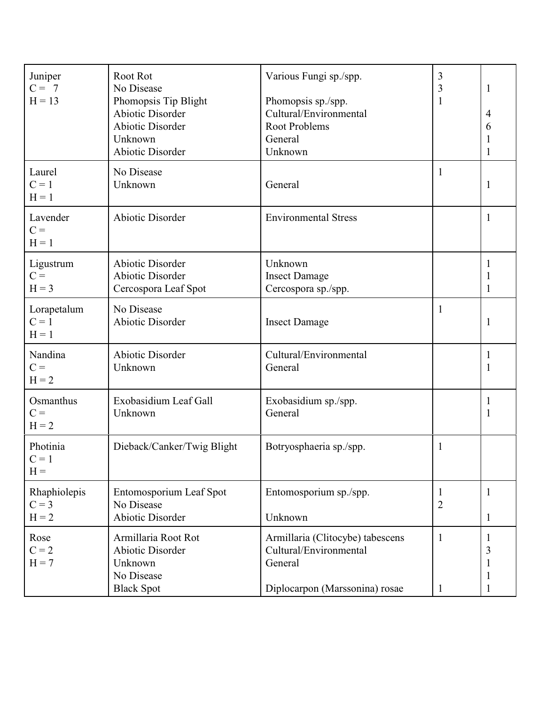| Juniper<br>$C = 7$<br>$H = 13$     | Root Rot<br>No Disease<br>Phomopsis Tip Blight<br><b>Abiotic Disorder</b><br><b>Abiotic Disorder</b><br>Unknown<br><b>Abiotic Disorder</b> | Various Fungi sp./spp.<br>Phomopsis sp./spp.<br>Cultural/Environmental<br><b>Root Problems</b><br>General<br>Unknown | 3<br>$\mathfrak{Z}$<br>1       | $\mathbf{1}$<br>4<br>6<br>1<br>$\mathbf{1}$ |
|------------------------------------|--------------------------------------------------------------------------------------------------------------------------------------------|----------------------------------------------------------------------------------------------------------------------|--------------------------------|---------------------------------------------|
| Laurel<br>$C = 1$<br>$H = 1$       | No Disease<br>Unknown                                                                                                                      | General                                                                                                              |                                | $\mathbf{1}$                                |
| Lavender<br>$C =$<br>$H = 1$       | Abiotic Disorder                                                                                                                           | <b>Environmental Stress</b>                                                                                          |                                | $\mathbf{1}$                                |
| Ligustrum<br>$C =$<br>$H = 3$      | <b>Abiotic Disorder</b><br><b>Abiotic Disorder</b><br>Cercospora Leaf Spot                                                                 | Unknown<br><b>Insect Damage</b><br>Cercospora sp./spp.                                                               |                                | 1<br>1<br>$\mathbf{1}$                      |
| Lorapetalum<br>$C = 1$<br>$H = 1$  | No Disease<br>Abiotic Disorder                                                                                                             | <b>Insect Damage</b>                                                                                                 | 1                              | $\mathbf{1}$                                |
| Nandina<br>$C =$<br>$H = 2$        | <b>Abiotic Disorder</b><br>Unknown                                                                                                         | Cultural/Environmental<br>General                                                                                    |                                | $\mathbf{1}$<br>1                           |
| Osmanthus<br>$C =$<br>$H = 2$      | Exobasidium Leaf Gall<br>Unknown                                                                                                           | Exobasidium sp./spp.<br>General                                                                                      |                                | $\mathbf{1}$<br>1                           |
| Photinia<br>$C = 1$<br>$H =$       | Dieback/Canker/Twig Blight                                                                                                                 | Botryosphaeria sp./spp.                                                                                              | 1                              |                                             |
| Rhaphiolepis<br>$C = 3$<br>$H = 2$ | Entomosporium Leaf Spot<br>No Disease<br>Abiotic Disorder                                                                                  | Entomosporium sp./spp.<br>Unknown                                                                                    | $\mathbf{I}$<br>$\overline{2}$ | $\mathbf{1}$<br>$\mathbf{1}$                |
| Rose<br>$C = 2$<br>$H = 7$         | Armillaria Root Rot<br>Abiotic Disorder<br>Unknown<br>No Disease<br><b>Black Spot</b>                                                      | Armillaria (Clitocybe) tabescens<br>Cultural/Environmental<br>General<br>Diplocarpon (Marssonina) rosae              | 1                              | $\mathbf{1}$<br>3<br>1<br>1<br>$\mathbf{1}$ |